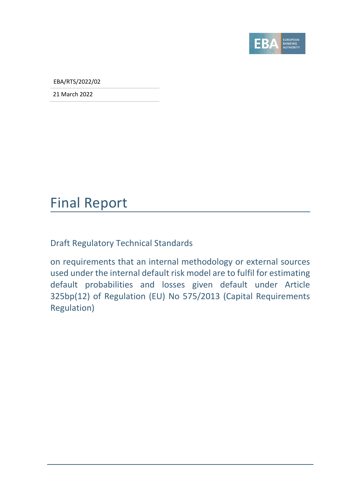

EBA/RTS/2022/02

21 March 2022

## Final Report

Draft Regulatory Technical Standards

on requirements that an internal methodology or external sources used under the internal default risk model are to fulfil for estimating default probabilities and losses given default under Article 325bp(12) of Regulation (EU) No 575/2013 (Capital Requirements Regulation)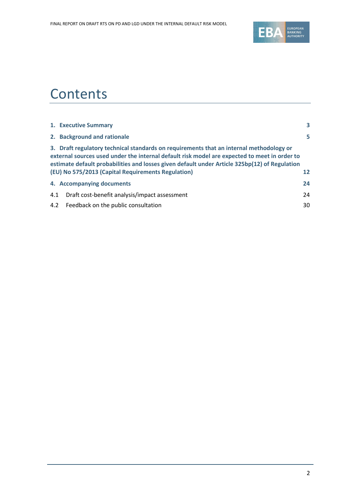

## **Contents**

|     | 1. Executive Summary                                                                                                                                                                                                                                                                                                                           | 3  |
|-----|------------------------------------------------------------------------------------------------------------------------------------------------------------------------------------------------------------------------------------------------------------------------------------------------------------------------------------------------|----|
|     | 2. Background and rationale                                                                                                                                                                                                                                                                                                                    | 5  |
|     | 3. Draft regulatory technical standards on requirements that an internal methodology or<br>external sources used under the internal default risk model are expected to meet in order to<br>estimate default probabilities and losses given default under Article 325bp(12) of Regulation<br>(EU) No 575/2013 (Capital Requirements Regulation) | 12 |
|     | 4. Accompanying documents                                                                                                                                                                                                                                                                                                                      | 24 |
| 4.1 | Draft cost-benefit analysis/impact assessment                                                                                                                                                                                                                                                                                                  | 24 |
| 4.2 | Feedback on the public consultation                                                                                                                                                                                                                                                                                                            | 30 |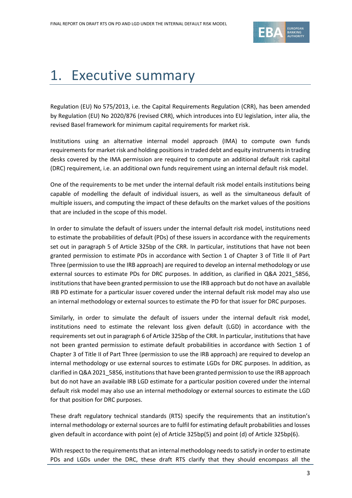

# <span id="page-2-0"></span>1. Executive summary

Regulation (EU) No 575/2013, i.e. the Capital Requirements Regulation (CRR), has been amended by Regulation (EU) No 2020/876 (revised CRR), which introduces into EU legislation, inter alia, the revised Basel framework for minimum capital requirements for market risk.

Institutions using an alternative internal model approach (IMA) to compute own funds requirements for market risk and holding positions in traded debt and equity instruments in trading desks covered by the IMA permission are required to compute an additional default risk capital (DRC) requirement, i.e. an additional own funds requirement using an internal default risk model.

One of the requirements to be met under the internal default risk model entails institutions being capable of modelling the default of individual issuers, as well as the simultaneous default of multiple issuers, and computing the impact of these defaults on the market values of the positions that are included in the scope of this model.

In order to simulate the default of issuers under the internal default risk model, institutions need to estimate the probabilities of default (PDs) of these issuers in accordance with the requirements set out in paragraph 5 of Article 325bp of the CRR. In particular, institutions that have not been granted permission to estimate PDs in accordance with Section 1 of Chapter 3 of Title II of Part Three (permission to use the IRB approach) are required to develop an internal methodology or use external sources to estimate PDs for DRC purposes. In addition, as clarified in Q&A 2021\_5856, institutions that have been granted permission to use the IRB approach but do not have an available IRB PD estimate for a particular issuer covered under the internal default risk model may also use an internal methodology or external sources to estimate the PD for that issuer for DRC purposes.

Similarly, in order to simulate the default of issuers under the internal default risk model, institutions need to estimate the relevant loss given default (LGD) in accordance with the requirements set out in paragraph 6 of Article 325bp of the CRR. In particular, institutions that have not been granted permission to estimate default probabilities in accordance with Section 1 of Chapter 3 of Title II of Part Three (permission to use the IRB approach) are required to develop an internal methodology or use external sources to estimate LGDs for DRC purposes. In addition, as clarified in Q&A 2021\_5856, institutions that have been granted permission to use the IRB approach but do not have an available IRB LGD estimate for a particular position covered under the internal default risk model may also use an internal methodology or external sources to estimate the LGD for that position for DRC purposes.

These draft regulatory technical standards (RTS) specify the requirements that an institution's internal methodology or external sources are to fulfil for estimating default probabilities and losses given default in accordance with point (e) of Article 325bp(5) and point (d) of Article 325bp(6).

With respect to the requirements that an internal methodology needs to satisfy in order to estimate PDs and LGDs under the DRC, these draft RTS clarify that they should encompass all the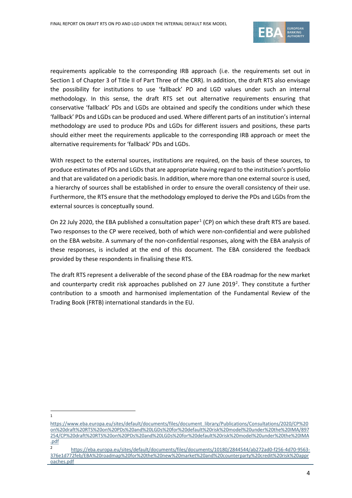

requirements applicable to the corresponding IRB approach (i.e. the requirements set out in Section 1 of Chapter 3 of Title II of Part Three of the CRR). In addition, the draft RTS also envisage the possibility for institutions to use 'fallback' PD and LGD values under such an internal methodology. In this sense, the draft RTS set out alternative requirements ensuring that conservative 'fallback' PDs and LGDs are obtained and specify the conditions under which these 'fallback' PDs and LGDs can be produced and used. Where different parts of an institution's internal methodology are used to produce PDs and LGDs for different issuers and positions, these parts should either meet the requirements applicable to the corresponding IRB approach or meet the alternative requirements for 'fallback' PDs and LGDs.

With respect to the external sources, institutions are required, on the basis of these sources, to produce estimates of PDs and LGDs that are appropriate having regard to the institution's portfolio and that are validated on a periodic basis. In addition, where more than one external source is used, a hierarchy of sources shall be established in order to ensure the overall consistency of their use. Furthermore, the RTS ensure that the methodology employed to derive the PDs and LGDs from the external sources is conceptually sound.

On 22 July 2020, the EBA published a consultation paper<sup>[1](#page-3-0)</sup> (CP) on which these draft RTS are based. Two responses to the CP were received, both of which were non-confidential and were published on the EBA website. A summary of the non-confidential responses, along with the EBA analysis of these responses, is included at the end of this document. The EBA considered the feedback provided by these respondents in finalising these RTS.

The draft RTS represent a deliverable of the second phase of the EBA roadmap for the new market and counterparty credit risk approaches published on [2](#page-3-1)7 June 2019<sup>2</sup>. They constitute a further contribution to a smooth and harmonised implementation of the Fundamental Review of the Trading Book (FRTB) international standards in the EU.

1

<span id="page-3-0"></span>[https://www.eba.europa.eu/sites/default/documents/files/document\\_library/Publications/Consultations/2020/CP%20](https://www.eba.europa.eu/sites/default/documents/files/document_library/Publications/Consultations/2020/CP%20on%20draft%20RTS%20on%20PDs%20and%20LGDs%20for%20default%20risk%20model%20under%20the%20IMA/897254/CP%20draft%20RTS%20on%20PDs%20and%20LGDs%20for%20default%20risk%20model%20under%20the%20IMA.pdf) [on%20draft%20RTS%20on%20PDs%20and%20LGDs%20for%20default%20risk%20model%20under%20the%20IMA/897](https://www.eba.europa.eu/sites/default/documents/files/document_library/Publications/Consultations/2020/CP%20on%20draft%20RTS%20on%20PDs%20and%20LGDs%20for%20default%20risk%20model%20under%20the%20IMA/897254/CP%20draft%20RTS%20on%20PDs%20and%20LGDs%20for%20default%20risk%20model%20under%20the%20IMA.pdf) [254/CP%20draft%20RTS%20on%20PDs%20and%20LGDs%20for%20default%20risk%20model%20under%20the%20IMA](https://www.eba.europa.eu/sites/default/documents/files/document_library/Publications/Consultations/2020/CP%20on%20draft%20RTS%20on%20PDs%20and%20LGDs%20for%20default%20risk%20model%20under%20the%20IMA/897254/CP%20draft%20RTS%20on%20PDs%20and%20LGDs%20for%20default%20risk%20model%20under%20the%20IMA.pdf) [.pdf](https://www.eba.europa.eu/sites/default/documents/files/document_library/Publications/Consultations/2020/CP%20on%20draft%20RTS%20on%20PDs%20and%20LGDs%20for%20default%20risk%20model%20under%20the%20IMA/897254/CP%20draft%20RTS%20on%20PDs%20and%20LGDs%20for%20default%20risk%20model%20under%20the%20IMA.pdf)

<span id="page-3-1"></span><sup>2</sup> [https://eba.europa.eu/sites/default/documents/files/documents/10180/2844544/ab272ad0-f256-4d70-9563-](https://eba.europa.eu/sites/default/documents/files/documents/10180/2844544/ab272ad0-f256-4d70-9563-376e1d772feb/EBA%20roadmap%20for%20the%20new%20market%20and%20counterparty%20credit%20risk%20approaches.pdf) [376e1d772feb/EBA%20roadmap%20for%20the%20new%20market%20and%20counterparty%20credit%20risk%20appr](https://eba.europa.eu/sites/default/documents/files/documents/10180/2844544/ab272ad0-f256-4d70-9563-376e1d772feb/EBA%20roadmap%20for%20the%20new%20market%20and%20counterparty%20credit%20risk%20approaches.pdf) [oaches.pdf](https://eba.europa.eu/sites/default/documents/files/documents/10180/2844544/ab272ad0-f256-4d70-9563-376e1d772feb/EBA%20roadmap%20for%20the%20new%20market%20and%20counterparty%20credit%20risk%20approaches.pdf)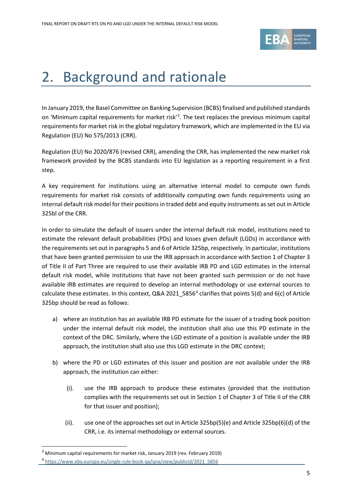

# <span id="page-4-0"></span>2. Background and rationale

In January 2019, the Basel Committee on Banking Supervision (BCBS) finalised and published standards on 'Minimum capital requirements for market risk<sup>'[3](#page-4-1)</sup>. The text replaces the previous minimum capital requirements for market risk in the global regulatory framework, which are implemented in the EU via Regulation (EU) No 575/2013 (CRR).

Regulation (EU) No 2020/876 (revised CRR), amending the CRR, has implemented the new market risk framework provided by the BCBS standards into EU legislation as a reporting requirement in a first step.

A key requirement for institutions using an alternative internal model to compute own funds requirements for market risk consists of additionally computing own funds requirements using an internal default risk model for their positions in traded debt and equity instruments as set out in Article 325bl of the CRR.

In order to simulate the default of issuers under the internal default risk model, institutions need to estimate the relevant default probabilities (PDs) and losses given default (LGDs) in accordance with the requirements set out in paragraphs 5 and 6 of Article 325bp, respectively. In particular, institutions that have been granted permission to use the IRB approach in accordance with Section 1 of Chapter 3 of Title II of Part Three are required to use their available IRB PD and LGD estimates in the internal default risk model, while institutions that have not been granted such permission or do not have available IRB estimates are required to develop an internal methodology or use external sources to calculate these estimates. In this context, Q&A 2021  $5856<sup>4</sup>$  $5856<sup>4</sup>$  $5856<sup>4</sup>$  clarifies that points 5(d) and 6(c) of Article 325bp should be read as follows:

- a) where an institution has an available IRB PD estimate for the issuer of a trading book position under the internal default risk model, the institution shall also use this PD estimate in the context of the DRC. Similarly, where the LGD estimate of a position is available under the IRB approach, the institution shall also use this LGD estimate in the DRC context;
- b) where the PD or LGD estimates of this issuer and position are not available under the IRB approach, the institution can either:
	- (i). use the IRB approach to produce these estimates (provided that the institution complies with the requirements set out in Section 1 of Chapter 3 of Title II of the CRR for that issuer and position);
	- (ii). use one of the approaches set out in Article 325bp(5)(e) and Article 325bp(6)(d) of the CRR, i.e. its internal methodology or external sources.

<sup>&</sup>lt;sup>3</sup> Minimum capital requirements for market risk, January 2019 (rev. February 2019)

<span id="page-4-2"></span><span id="page-4-1"></span><sup>4</sup> [https://www.eba.europa.eu/single-rule-book-qa/qna/view/publicId/2021\\_5856](https://www.eba.europa.eu/single-rule-book-qa/qna/view/publicId/2021_5856)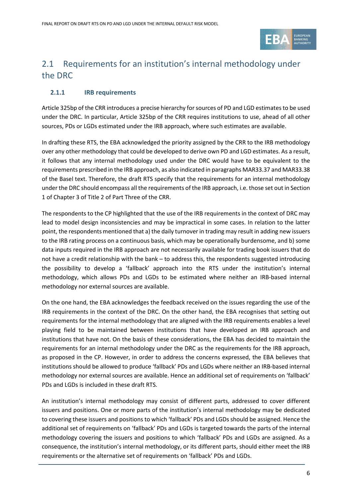

## 2.1 Requirements for an institution's internal methodology under the DRC

#### **2.1.1 IRB requirements**

Article 325bp of the CRR introduces a precise hierarchy for sources of PD and LGD estimates to be used under the DRC. In particular, Article 325bp of the CRR requires institutions to use, ahead of all other sources, PDs or LGDs estimated under the IRB approach, where such estimates are available.

In drafting these RTS, the EBA acknowledged the priority assigned by the CRR to the IRB methodology over any other methodology that could be developed to derive own PD and LGD estimates. As a result, it follows that any internal methodology used under the DRC would have to be equivalent to the requirements prescribed in the IRB approach, as also indicated in paragraphs MAR33.37 and MAR33.38 of the Basel text. Therefore, the draft RTS specify that the requirements for an internal methodology under the DRC should encompass all the requirements of the IRB approach, i.e. those set out in Section 1 of Chapter 3 of Title 2 of Part Three of the CRR.

The respondents to the CP highlighted that the use of the IRB requirements in the context of DRC may lead to model design inconsistencies and may be impractical in some cases. In relation to the latter point, the respondents mentioned that a) the daily turnover in trading may result in adding new issuers to the IRB rating process on a continuous basis, which may be operationally burdensome, and b) some data inputs required in the IRB approach are not necessarily available for trading book issuers that do not have a credit relationship with the bank – to address this, the respondents suggested introducing the possibility to develop a 'fallback' approach into the RTS under the institution's internal methodology, which allows PDs and LGDs to be estimated where neither an IRB-based internal methodology nor external sources are available.

On the one hand, the EBA acknowledges the feedback received on the issues regarding the use of the IRB requirements in the context of the DRC. On the other hand, the EBA recognises that setting out requirements for the internal methodology that are aligned with the IRB requirements enables a level playing field to be maintained between institutions that have developed an IRB approach and institutions that have not. On the basis of these considerations, the EBA has decided to maintain the requirements for an internal methodology under the DRC as the requirements for the IRB approach, as proposed in the CP. However, in order to address the concerns expressed, the EBA believes that institutions should be allowed to produce 'fallback' PDs and LGDs where neither an IRB-based internal methodology nor external sources are available. Hence an additional set of requirements on 'fallback' PDs and LGDs is included in these draft RTS.

An institution's internal methodology may consist of different parts, addressed to cover different issuers and positions. One or more parts of the institution's internal methodology may be dedicated to covering these issuers and positions to which 'fallback' PDs and LGDs should be assigned. Hence the additional set of requirements on 'fallback' PDs and LGDs is targeted towards the parts of the internal methodology covering the issuers and positions to which 'fallback' PDs and LGDs are assigned. As a consequence, the institution's internal methodology, or its different parts, should either meet the IRB requirements or the alternative set of requirements on 'fallback' PDs and LGDs.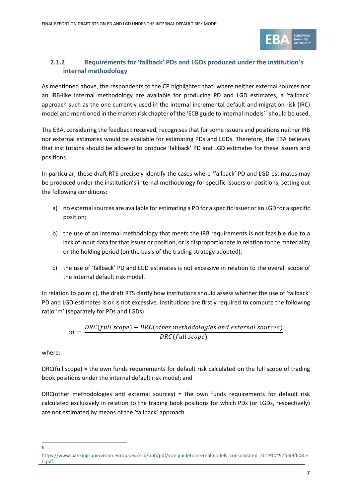

### **2.1.2 Requirements for 'fallback' PDs and LGDs produced under the institution's internal methodology**

As mentioned above, the respondents to the CP highlighted that, where neither external sources nor an IRB-like internal methodology are available for producing PD and LGD estimates, a 'fallback' approach such as the one currently used in the internal incremental default and migration risk (IRC) model and mentioned in the market risk chapter of the 'ECB guide to internal models'<sup>[5](#page-6-0)</sup> should be used.

The EBA, considering the feedback received, recognisesthat for some issuers and positions neither IRB nor external estimates would be available for estimating PDs and LGDs. Therefore, the EBA believes that institutions should be allowed to produce 'fallback' PD and LGD estimates for these issuers and positions.

In particular, these draft RTS precisely identify the cases where 'fallback' PD and LGD estimates may be produced under the institution's internal methodology for specific issuers or positions, setting out the following conditions:

- a) no external sources are available for estimating a PD for a specific issuer or an LGD for a specific position;
- b) the use of an internal methodology that meets the IRB requirements is not feasible due to a lack of input data for that issuer or position, or is disproportionate in relation to the materiality or the holding period (on the basis of the trading strategy adopted);
- c) the use of 'fallback' PD and LGD estimates is not excessive in relation to the overall scope of the internal default risk model.

In relation to point c), the draft RTS clarify how institutions should assess whether the use of 'fallback' PD and LGD estimates is or is not excessive. Institutions are firstly required to compute the following ratio 'm' (separately for PDs and LGDs)

$$
m = \frac{DRC(full scope) - DRC(other methodologies and external sources)}{DRC(full scope)}
$$

where:

DRC(full scope) = the own funds requirements for default risk calculated on the full scope of trading book positions under the internal default risk model; and

DRC(other methodologies and external sources) = the own funds requirements for default risk calculated exclusively in relation to the trading book positions for which PDs (or LGDs, respectively) are not estimated by means of the 'fallback' approach.

5

<span id="page-6-0"></span>[https://www.bankingsupervision.europa.eu/ecb/pub/pdf/ssm.guidetointernalmodels\\_consolidated\\_201910~97fd49fb08.e](https://www.bankingsupervision.europa.eu/ecb/pub/pdf/ssm.guidetointernalmodels_consolidated_201910%7E97fd49fb08.en.pdf) [n.pdf](https://www.bankingsupervision.europa.eu/ecb/pub/pdf/ssm.guidetointernalmodels_consolidated_201910%7E97fd49fb08.en.pdf)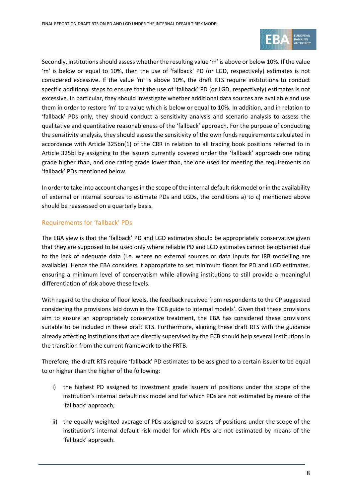

Secondly, institutions should assess whether the resulting value 'm' is above or below 10%. If the value 'm' is below or equal to 10%, then the use of 'fallback' PD (or LGD, respectively) estimates is not considered excessive. If the value 'm' is above 10%, the draft RTS require institutions to conduct specific additional steps to ensure that the use of 'fallback' PD (or LGD, respectively) estimates is not excessive. In particular, they should investigate whether additional data sources are available and use them in order to restore 'm' to a value which is below or equal to 10%. In addition, and in relation to 'fallback' PDs only, they should conduct a sensitivity analysis and scenario analysis to assess the qualitative and quantitative reasonableness of the 'fallback' approach. For the purpose of conducting the sensitivity analysis, they should assess the sensitivity of the own funds requirements calculated in accordance with Article 325bn(1) of the CRR in relation to all trading book positions referred to in Article 325bl by assigning to the issuers currently covered under the 'fallback' approach one rating grade higher than, and one rating grade lower than, the one used for meeting the requirements on 'fallback' PDs mentioned below.

In order to take into account changes in the scope of the internal default risk model or in the availability of external or internal sources to estimate PDs and LGDs, the conditions a) to c) mentioned above should be reassessed on a quarterly basis.

#### Requirements for 'fallback' PDs

The EBA view is that the 'fallback' PD and LGD estimates should be appropriately conservative given that they are supposed to be used only where reliable PD and LGD estimates cannot be obtained due to the lack of adequate data (i.e. where no external sources or data inputs for IRB modelling are available). Hence the EBA considers it appropriate to set minimum floors for PD and LGD estimates, ensuring a minimum level of conservatism while allowing institutions to still provide a meaningful differentiation of risk above these levels.

With regard to the choice of floor levels, the feedback received from respondents to the CP suggested considering the provisions laid down in the 'ECB guide to internal models'. Given that these provisions aim to ensure an appropriately conservative treatment, the EBA has considered these provisions suitable to be included in these draft RTS. Furthermore, aligning these draft RTS with the guidance already affecting institutions that are directly supervised by the ECB should help several institutions in the transition from the current framework to the FRTB.

Therefore, the draft RTS require 'fallback' PD estimates to be assigned to a certain issuer to be equal to or higher than the higher of the following:

- i) the highest PD assigned to investment grade issuers of positions under the scope of the institution's internal default risk model and for which PDs are not estimated by means of the 'fallback' approach;
- ii) the equally weighted average of PDs assigned to issuers of positions under the scope of the institution's internal default risk model for which PDs are not estimated by means of the 'fallback' approach.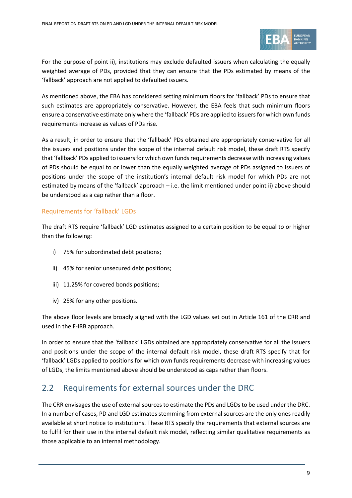

For the purpose of point ii), institutions may exclude defaulted issuers when calculating the equally weighted average of PDs, provided that they can ensure that the PDs estimated by means of the 'fallback' approach are not applied to defaulted issuers.

As mentioned above, the EBA has considered setting minimum floors for 'fallback' PDs to ensure that such estimates are appropriately conservative. However, the EBA feels that such minimum floors ensure a conservative estimate only where the 'fallback' PDs are applied to issuers for which own funds requirements increase as values of PDs rise.

As a result, in order to ensure that the 'fallback' PDs obtained are appropriately conservative for all the issuers and positions under the scope of the internal default risk model, these draft RTS specify that 'fallback' PDs applied to issuers for which own funds requirements decrease with increasing values of PDs should be equal to or lower than the equally weighted average of PDs assigned to issuers of positions under the scope of the institution's internal default risk model for which PDs are not estimated by means of the 'fallback' approach – i.e. the limit mentioned under point ii) above should be understood as a cap rather than a floor.

#### Requirements for 'fallback' LGDs

The draft RTS require 'fallback' LGD estimates assigned to a certain position to be equal to or higher than the following:

- i) 75% for subordinated debt positions;
- ii) 45% for senior unsecured debt positions;
- iii) 11.25% for covered bonds positions;
- iv) 25% for any other positions.

The above floor levels are broadly aligned with the LGD values set out in Article 161 of the CRR and used in the F-IRB approach.

In order to ensure that the 'fallback' LGDs obtained are appropriately conservative for all the issuers and positions under the scope of the internal default risk model, these draft RTS specify that for 'fallback' LGDs applied to positions for which own funds requirements decrease with increasing values of LGDs, the limits mentioned above should be understood as caps rather than floors.

### 2.2 Requirements for external sources under the DRC

The CRR envisages the use of external sources to estimate the PDs and LGDs to be used under the DRC. In a number of cases, PD and LGD estimates stemming from external sources are the only ones readily available at short notice to institutions. These RTS specify the requirements that external sources are to fulfil for their use in the internal default risk model, reflecting similar qualitative requirements as those applicable to an internal methodology.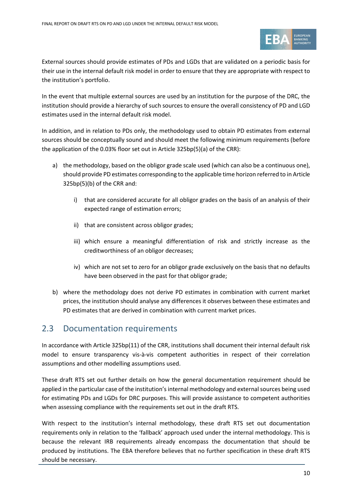

External sources should provide estimates of PDs and LGDs that are validated on a periodic basis for their use in the internal default risk model in order to ensure that they are appropriate with respect to the institution's portfolio.

In the event that multiple external sources are used by an institution for the purpose of the DRC, the institution should provide a hierarchy of such sources to ensure the overall consistency of PD and LGD estimates used in the internal default risk model.

In addition, and in relation to PDs only, the methodology used to obtain PD estimates from external sources should be conceptually sound and should meet the following minimum requirements (before the application of the 0.03% floor set out in Article 325bp(5)(a) of the CRR):

- a) the methodology, based on the obligor grade scale used (which can also be a continuous one), should provide PD estimates corresponding to the applicable time horizon referred to in Article 325bp(5)(b) of the CRR and:
	- i) that are considered accurate for all obligor grades on the basis of an analysis of their expected range of estimation errors;
	- ii) that are consistent across obligor grades;
	- iii) which ensure a meaningful differentiation of risk and strictly increase as the creditworthiness of an obligor decreases;
	- iv) which are not set to zero for an obligor grade exclusively on the basis that no defaults have been observed in the past for that obligor grade;
- b) where the methodology does not derive PD estimates in combination with current market prices, the institution should analyse any differences it observes between these estimates and PD estimates that are derived in combination with current market prices.

### 2.3 Documentation requirements

In accordance with Article 325bp(11) of the CRR, institutions shall document their internal default risk model to ensure transparency vis-à-vis competent authorities in respect of their correlation assumptions and other modelling assumptions used.

These draft RTS set out further details on how the general documentation requirement should be applied in the particular case of the institution's internal methodology and external sources being used for estimating PDs and LGDs for DRC purposes. This will provide assistance to competent authorities when assessing compliance with the requirements set out in the draft RTS.

With respect to the institution's internal methodology, these draft RTS set out documentation requirements only in relation to the 'fallback' approach used under the internal methodology. This is because the relevant IRB requirements already encompass the documentation that should be produced by institutions. The EBA therefore believes that no further specification in these draft RTS should be necessary.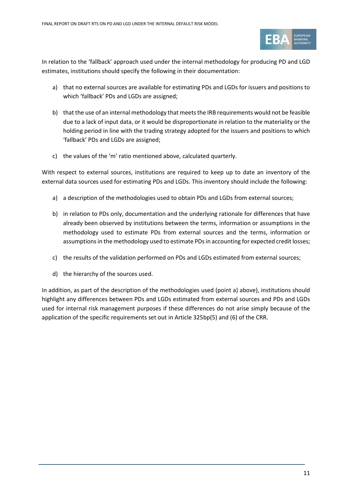

In relation to the 'fallback' approach used under the internal methodology for producing PD and LGD estimates, institutions should specify the following in their documentation:

- a) that no external sources are available for estimating PDs and LGDs for issuers and positions to which 'fallback' PDs and LGDs are assigned;
- b) that the use of an internal methodology that meets the IRB requirements would not be feasible due to a lack of input data, or it would be disproportionate in relation to the materiality or the holding period in line with the trading strategy adopted for the issuers and positions to which 'fallback' PDs and LGDs are assigned;
- c) the values of the 'm' ratio mentioned above, calculated quarterly.

With respect to external sources, institutions are required to keep up to date an inventory of the external data sources used for estimating PDs and LGDs. This inventory should include the following:

- a) a description of the methodologies used to obtain PDs and LGDs from external sources;
- b) in relation to PDs only, documentation and the underlying rationale for differences that have already been observed by institutions between the terms, information or assumptions in the methodology used to estimate PDs from external sources and the terms, information or assumptions in the methodology used to estimate PDs in accounting for expected credit losses;
- c) the results of the validation performed on PDs and LGDs estimated from external sources;
- d) the hierarchy of the sources used.

In addition, as part of the description of the methodologies used (point a) above), institutions should highlight any differences between PDs and LGDs estimated from external sources and PDs and LGDs used for internal risk management purposes if these differences do not arise simply because of the application of the specific requirements set out in Article 325bp(5) and (6) of the CRR.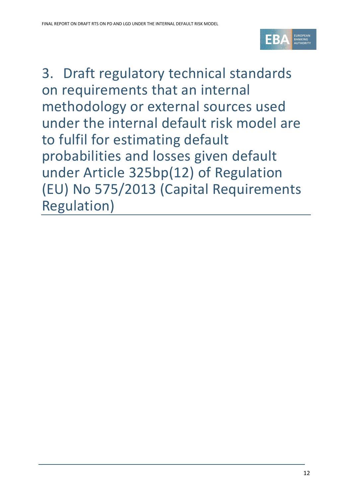

<span id="page-11-0"></span>3. Draft regulatory technical standards on requirements that an internal methodology or external sources used under the internal default risk model are to fulfil for estimating default probabilities and losses given default under Article 325bp(12) of Regulation (EU) No 575/2013 (Capital Requirements Regulation)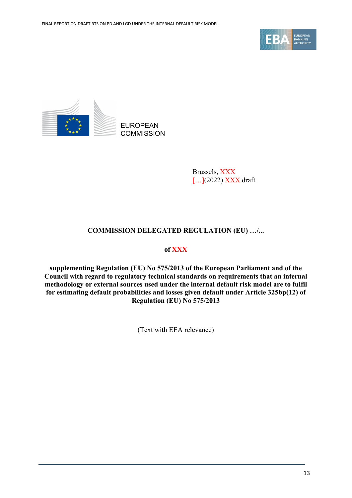



Brussels, XXX [...](2022) XXX draft

#### **COMMISSION DELEGATED REGULATION (EU) …/...**

#### **of XXX**

**supplementing Regulation (EU) No 575/2013 of the European Parliament and of the Council with regard to regulatory technical standards on requirements that an internal methodology or external sources used under the internal default risk model are to fulfil for estimating default probabilities and losses given default under Article 325bp(12) of Regulation (EU) No 575/2013**

(Text with EEA relevance)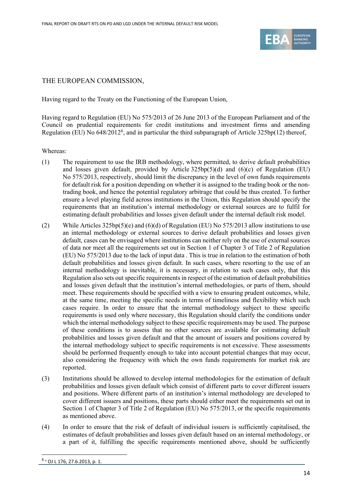

#### THE EUROPEAN COMMISSION,

Having regard to the Treaty on the Functioning of the European Union,

Having regard to Regulation (EU) No 575/2013 of 26 June 2013 of the European Parliament and of the Council on prudential requirements for credit institutions and investment firms and amending Regulation (EU) No [6](#page-13-0)48/2012<sup>6</sup>, and in particular the third subparagraph of Article 325bp(12) thereof,

Whereas:

- (1) The requirement to use the IRB methodology, where permitted, to derive default probabilities and losses given default, provided by Article  $325bp(5)(d)$  and  $(6)(c)$  of Regulation (EU) No 575/2013, respectively, should limit the discrepancy in the level of own funds requirements for default risk for a position depending on whether it is assigned to the trading book or the nontrading book, and hence the potential regulatory arbitrage that could be thus created. To further ensure a level playing field across institutions in the Union, this Regulation should specify the requirements that an institution's internal methodology or external sources are to fulfil for estimating default probabilities and losses given default under the internal default risk model.
- (2) While Articles 325bp(5)(e) and (6)(d) of Regulation (EU) No 575/2013 allow institutions to use an internal methodology or external sources to derive default probabilities and losses given default, cases can be envisaged where institutions can neither rely on the use of external sources of data nor meet all the requirements set out in Section 1 of Chapter 3 of Title 2 of Regulation (EU) No 575/2013 due to the lack of input data . This is true in relation to the estimation of both default probabilities and losses given default. In such cases, where resorting to the use of an internal methodology is inevitable, it is necessary, in relation to such cases only, that this Regulation also sets out specific requirements in respect of the estimation of default probabilities and losses given default that the institution's internal methodologies, or parts of them, should meet. These requirements should be specified with a view to ensuring prudent outcomes, while, at the same time, meeting the specific needs in terms of timeliness and flexibility which such cases require. In order to ensure that the internal methodology subject to these specific requirements is used only where necessary, this Regulation should clarify the conditions under which the internal methodology subject to these specific requirements may be used. The purpose of these conditions is to assess that no other sources are available for estimating default probabilities and losses given default and that the amount of issuers and positions covered by the internal methodology subject to specific requirements is not excessive. These assessments should be performed frequently enough to take into account potential changes that may occur, also considering the frequency with which the own funds requirements for market risk are reported.
- (3) Institutions should be allowed to develop internal methodologies for the estimation of default probabilities and losses given default which consist of different parts to cover different issuers and positions. Where different parts of an institution's internal methodology are developed to cover different issuers and positions, these parts should either meet the requirements set out in Section 1 of Chapter 3 of Title 2 of Regulation (EU) No 575/2013, or the specific requirements as mentioned above.
- <span id="page-13-0"></span>(4) In order to ensure that the risk of default of individual issuers is sufficiently capitalised, the estimates of default probabilities and losses given default based on an internal methodology, or a part of it, fulfilling the specific requirements mentioned above, should be sufficiently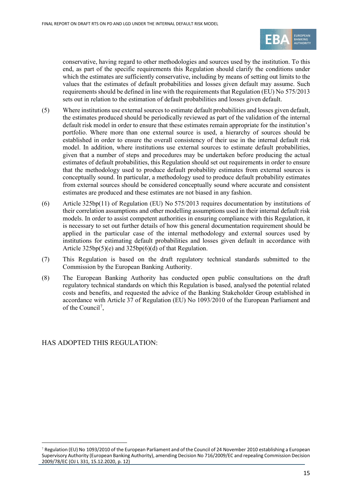

conservative, having regard to other methodologies and sources used by the institution. To this end, as part of the specific requirements this Regulation should clarify the conditions under which the estimates are sufficiently conservative, including by means of setting out limits to the values that the estimates of default probabilities and losses given default may assume. Such requirements should be defined in line with the requirements that Regulation (EU) No 575/2013 sets out in relation to the estimation of default probabilities and losses given default.

- (5) Where institutions use external sources to estimate default probabilities and losses given default, the estimates produced should be periodically reviewed as part of the validation of the internal default risk model in order to ensure that these estimates remain appropriate for the institution's portfolio. Where more than one external source is used, a hierarchy of sources should be established in order to ensure the overall consistency of their use in the internal default risk model. In addition, where institutions use external sources to estimate default probabilities, given that a number of steps and procedures may be undertaken before producing the actual estimates of default probabilities, this Regulation should set out requirements in order to ensure that the methodology used to produce default probability estimates from external sources is conceptually sound. In particular, a methodology used to produce default probability estimates from external sources should be considered conceptually sound where accurate and consistent estimates are produced and these estimates are not biased in any fashion.
- (6) Article 325bp(11) of Regulation (EU) No 575/2013 requires documentation by institutions of their correlation assumptions and other modelling assumptions used in their internal default risk models. In order to assist competent authorities in ensuring compliance with this Regulation, it is necessary to set out further details of how this general documentation requirement should be applied in the particular case of the internal methodology and external sources used by institutions for estimating default probabilities and losses given default in accordance with Article 325bp(5)(e) and 325bp(6)(d) of that Regulation.
- (7) This Regulation is based on the draft regulatory technical standards submitted to the Commission by the European Banking Authority.
- (8) The European Banking Authority has conducted open public consultations on the draft regulatory technical standards on which this Regulation is based, analysed the potential related costs and benefits, and requested the advice of the Banking Stakeholder Group established in accordance with Article 37 of Regulation (EU) No 1093/2010 of the European Parliament and of the Council<sup>[7](#page-14-0)</sup>,

HAS ADOPTED THIS REGULATION:

<span id="page-14-0"></span> $7$  Regulation (EU) No 1093/2010 of the European Parliament and of the Council of 24 November 2010 establishing a European Supervisory Authority (European Banking Authority), amending Decision No 716/2009/EC and repealing Commission Decision 2009/78/EC (OJ L 331, 15.12.2020, p. 12)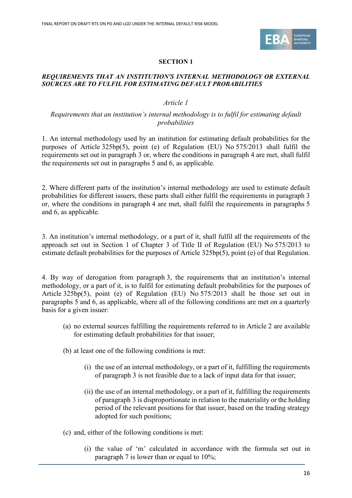

#### **SECTION 1**

#### *REQUIREMENTS THAT AN INSTITUTION'S INTERNAL METHODOLOGY OR EXTERNAL SOURCES ARE TO FULFIL FOR ESTIMATING DEFAULT PROBABILITIES*

#### *Article 1*

#### *Requirements that an institution's internal methodology is to fulfil for estimating default probabilities*

1. An internal methodology used by an institution for estimating default probabilities for the purposes of Article 325bp(5), point (e) of Regulation (EU) No 575/2013 shall fulfil the requirements set out in paragraph 3 or, where the conditions in paragraph 4 are met, shall fulfil the requirements set out in paragraphs 5 and 6, as applicable.

2. Where different parts of the institution's internal methodology are used to estimate default probabilities for different issuers, these parts shall either fulfil the requirements in paragraph 3 or, where the conditions in paragraph 4 are met, shall fulfil the requirements in paragraphs 5 and 6, as applicable.

3. An institution's internal methodology, or a part of it, shall fulfil all the requirements of the approach set out in Section 1 of Chapter 3 of Title II of Regulation (EU) No 575/2013 to estimate default probabilities for the purposes of Article 325bp(5), point (e) of that Regulation.

4. By way of derogation from paragraph 3, the requirements that an institution's internal methodology, or a part of it, is to fulfil for estimating default probabilities for the purposes of Article 325bp(5), point (e) of Regulation (EU) No 575/2013 shall be those set out in paragraphs 5 and 6, as applicable, where all of the following conditions are met on a quarterly basis for a given issuer:

- (a) no external sources fulfilling the requirements referred to in Article 2 are available for estimating default probabilities for that issuer;
- (b) at least one of the following conditions is met:
	- (i) the use of an internal methodology, or a part of it, fulfilling the requirements of paragraph 3 is not feasible due to a lack of input data for that issuer;
	- (ii) the use of an internal methodology, or a part of it, fulfilling the requirements of paragraph 3 is disproportionate in relation to the materiality or the holding period of the relevant positions for that issuer, based on the trading strategy adopted for such positions;
- (c) and, either of the following conditions is met:
	- (i) the value of 'm' calculated in accordance with the formula set out in paragraph 7 is lower than or equal to 10%;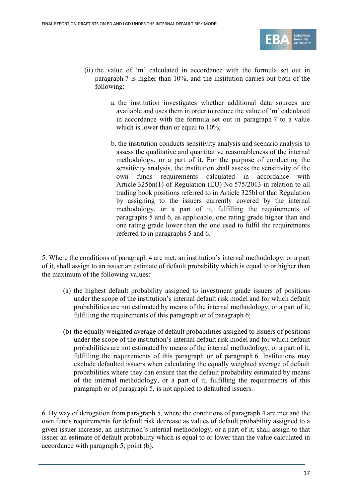

- (ii) the value of 'm' calculated in accordance with the formula set out in paragraph 7 is higher than 10%, and the institution carries out both of the following:
	- a. the institution investigates whether additional data sources are available and uses them in order to reduce the value of 'm' calculated in accordance with the formula set out in paragraph 7 to a value which is lower than or equal to 10%;
	- b. the institution conducts sensitivity analysis and scenario analysis to assess the qualitative and quantitative reasonableness of the internal methodology, or a part of it. For the purpose of conducting the sensitivity analysis, the institution shall assess the sensitivity of the own funds requirements calculated in accordance with Article 325bn(1) of Regulation (EU) No 575/2013 in relation to all trading book positions referred to in Article 325bl of that Regulation by assigning to the issuers currently covered by the internal methodology, or a part of it, fulfilling the requirements of paragraphs 5 and 6, as applicable, one rating grade higher than and one rating grade lower than the one used to fulfil the requirements referred to in paragraphs 5 and 6.

5. Where the conditions of paragraph 4 are met, an institution's internal methodology, or a part of it, shall assign to an issuer an estimate of default probability which is equal to or higher than the maximum of the following values:

- (a) the highest default probability assigned to investment grade issuers of positions under the scope of the institution's internal default risk model and for which default probabilities are not estimated by means of the internal methodology, or a part of it, fulfilling the requirements of this paragraph or of paragraph 6;
- (b) the equally weighted average of default probabilities assigned to issuers of positions under the scope of the institution's internal default risk model and for which default probabilities are not estimated by means of the internal methodology, or a part of it, fulfilling the requirements of this paragraph or of paragraph 6. Institutions may exclude defaulted issuers when calculating the equally weighted average of default probabilities where they can ensure that the default probability estimated by means of the internal methodology, or a part of it, fulfilling the requirements of this paragraph or of paragraph 5, is not applied to defaulted issuers.

6. By way of derogation from paragraph 5, where the conditions of paragraph 4 are met and the own funds requirements for default risk decrease as values of default probability assigned to a given issuer increase, an institution's internal methodology, or a part of it, shall assign to that issuer an estimate of default probability which is equal to or lower than the value calculated in accordance with paragraph 5, point (b).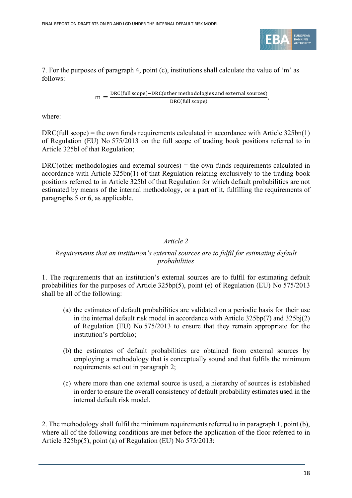

7. For the purposes of paragraph 4, point (c), institutions shall calculate the value of 'm' as follows:

$$
m = \frac{\text{DRC(full scope)} - \text{DRC}(\text{other methodologies and external sources})}{\text{DRC(full scope)}},
$$

where:

 $DRC$ (full scope) = the own funds requirements calculated in accordance with Article 325bn(1) of Regulation (EU) No 575/2013 on the full scope of trading book positions referred to in Article 325bl of that Regulation;

 $DRC$ (other methodologies and external sources) = the own funds requirements calculated in accordance with Article 325bn(1) of that Regulation relating exclusively to the trading book positions referred to in Article 325bl of that Regulation for which default probabilities are not estimated by means of the internal methodology, or a part of it, fulfilling the requirements of paragraphs 5 or 6, as applicable.

#### *Article 2*

#### *Requirements that an institution's external sources are to fulfil for estimating default probabilities*

1. The requirements that an institution's external sources are to fulfil for estimating default probabilities for the purposes of Article 325bp(5), point (e) of Regulation (EU) No 575/2013 shall be all of the following:

- (a) the estimates of default probabilities are validated on a periodic basis for their use in the internal default risk model in accordance with Article 325bp(7) and 325bj(2) of Regulation (EU) No 575/2013 to ensure that they remain appropriate for the institution's portfolio;
- (b) the estimates of default probabilities are obtained from external sources by employing a methodology that is conceptually sound and that fulfils the minimum requirements set out in paragraph 2;
- (c) where more than one external source is used, a hierarchy of sources is established in order to ensure the overall consistency of default probability estimates used in the internal default risk model.

2. The methodology shall fulfil the minimum requirements referred to in paragraph 1, point (b), where all of the following conditions are met before the application of the floor referred to in Article 325bp(5), point (a) of Regulation (EU) No 575/2013: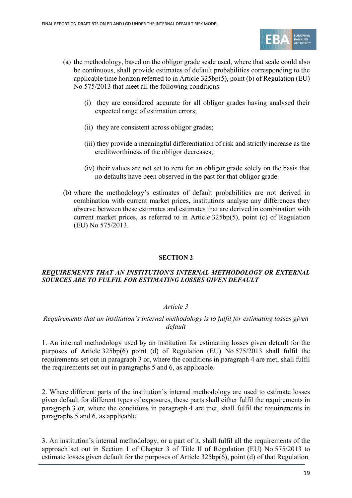

- (a) the methodology, based on the obligor grade scale used, where that scale could also be continuous, shall provide estimates of default probabilities corresponding to the applicable time horizon referred to in Article 325bp(5), point (b) of Regulation (EU) No 575/2013 that meet all the following conditions:
	- (i) they are considered accurate for all obligor grades having analysed their expected range of estimation errors;
	- (ii) they are consistent across obligor grades;
	- (iii) they provide a meaningful differentiation of risk and strictly increase as the creditworthiness of the obligor decreases;
	- (iv) their values are not set to zero for an obligor grade solely on the basis that no defaults have been observed in the past for that obligor grade.
- (b) where the methodology's estimates of default probabilities are not derived in combination with current market prices, institutions analyse any differences they observe between these estimates and estimates that are derived in combination with current market prices, as referred to in Article 325bp(5), point (c) of Regulation (EU) No 575/2013.

#### **SECTION 2**

#### *REQUIREMENTS THAT AN INSTITUTION'S INTERNAL METHODOLOGY OR EXTERNAL SOURCES ARE TO FULFIL FOR ESTIMATING LOSSES GIVEN DEFAULT*

#### *Article 3*

#### *Requirements that an institution's internal methodology is to fulfil for estimating losses given default*

1. An internal methodology used by an institution for estimating losses given default for the purposes of Article 325bp(6) point (d) of Regulation (EU) No 575/2013 shall fulfil the requirements set out in paragraph 3 or, where the conditions in paragraph 4 are met, shall fulfil the requirements set out in paragraphs 5 and 6, as applicable.

2. Where different parts of the institution's internal methodology are used to estimate losses given default for different types of exposures, these parts shall either fulfil the requirements in paragraph 3 or, where the conditions in paragraph 4 are met, shall fulfil the requirements in paragraphs 5 and 6, as applicable.

3. An institution's internal methodology, or a part of it, shall fulfil all the requirements of the approach set out in Section 1 of Chapter 3 of Title II of Regulation (EU) No 575/2013 to estimate losses given default for the purposes of Article 325bp(6), point (d) of that Regulation.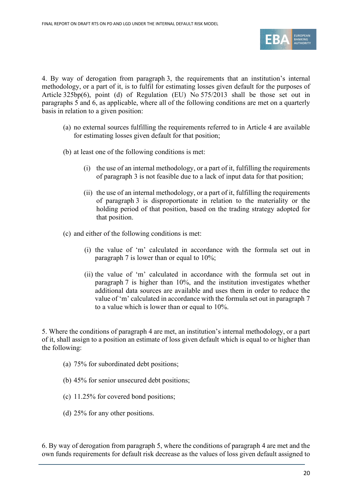

4. By way of derogation from paragraph 3, the requirements that an institution's internal methodology, or a part of it, is to fulfil for estimating losses given default for the purposes of Article 325bp(6), point (d) of Regulation (EU) No 575/2013 shall be those set out in paragraphs 5 and 6, as applicable, where all of the following conditions are met on a quarterly basis in relation to a given position:

- (a) no external sources fulfilling the requirements referred to in Article 4 are available for estimating losses given default for that position;
- (b) at least one of the following conditions is met:
	- (i) the use of an internal methodology, or a part of it, fulfilling the requirements of paragraph 3 is not feasible due to a lack of input data for that position;
	- (ii) the use of an internal methodology, or a part of it, fulfilling the requirements of paragraph 3 is disproportionate in relation to the materiality or the holding period of that position, based on the trading strategy adopted for that position.
- (c) and either of the following conditions is met:
	- (i) the value of 'm' calculated in accordance with the formula set out in paragraph 7 is lower than or equal to 10%;
	- (ii) the value of 'm' calculated in accordance with the formula set out in paragraph 7 is higher than 10%, and the institution investigates whether additional data sources are available and uses them in order to reduce the value of 'm' calculated in accordance with the formula set out in paragraph 7 to a value which is lower than or equal to 10%.

5. Where the conditions of paragraph 4 are met, an institution's internal methodology, or a part of it, shall assign to a position an estimate of loss given default which is equal to or higher than the following:

- (a) 75% for subordinated debt positions;
- (b) 45% for senior unsecured debt positions;
- (c) 11.25% for covered bond positions;
- (d) 25% for any other positions.

6. By way of derogation from paragraph 5, where the conditions of paragraph 4 are met and the own funds requirements for default risk decrease as the values of loss given default assigned to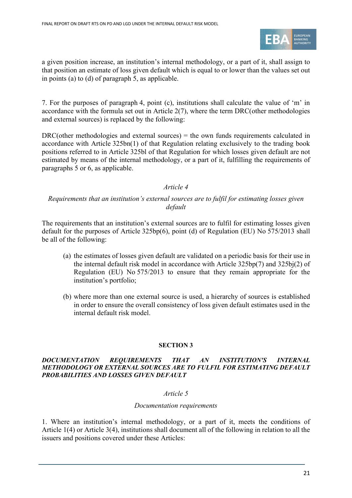

a given position increase, an institution's internal methodology, or a part of it, shall assign to that position an estimate of loss given default which is equal to or lower than the values set out in points (a) to (d) of paragraph 5, as applicable.

7. For the purposes of paragraph 4, point (c), institutions shall calculate the value of 'm' in accordance with the formula set out in Article 2(7), where the term DRC(other methodologies and external sources) is replaced by the following:

 $DRC$ (other methodologies and external sources) = the own funds requirements calculated in accordance with Article 325bn(1) of that Regulation relating exclusively to the trading book positions referred to in Article 325bl of that Regulation for which losses given default are not estimated by means of the internal methodology, or a part of it, fulfilling the requirements of paragraphs 5 or 6, as applicable.

#### *Article 4*

#### *Requirements that an institution's external sources are to fulfil for estimating losses given default*

The requirements that an institution's external sources are to fulfil for estimating losses given default for the purposes of Article 325bp(6), point (d) of Regulation (EU) No 575/2013 shall be all of the following:

- (a) the estimates of losses given default are validated on a periodic basis for their use in the internal default risk model in accordance with Article 325bp(7) and 325bj(2) of Regulation (EU) No 575/2013 to ensure that they remain appropriate for the institution's portfolio;
- (b) where more than one external source is used, a hierarchy of sources is established in order to ensure the overall consistency of loss given default estimates used in the internal default risk model.

#### **SECTION 3**

#### *DOCUMENTATION REQUIREMENTS THAT AN INSTITUTION'S INTERNAL METHODOLOGY OR EXTERNAL SOURCES ARE TO FULFIL FOR ESTIMATING DEFAULT PROBABILITIES AND LOSSES GIVEN DEFAULT*

#### *Article 5*

#### *Documentation requirements*

1. Where an institution's internal methodology, or a part of it, meets the conditions of Article 1(4) or Article 3(4), institutions shall document all of the following in relation to all the issuers and positions covered under these Articles: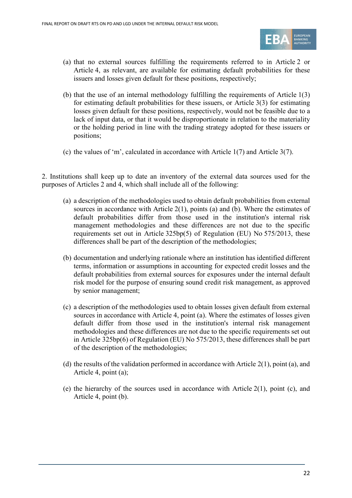

- (a) that no external sources fulfilling the requirements referred to in Article 2 or Article 4, as relevant, are available for estimating default probabilities for these issuers and losses given default for these positions, respectively;
- (b) that the use of an internal methodology fulfilling the requirements of Article 1(3) for estimating default probabilities for these issuers, or Article 3(3) for estimating losses given default for these positions, respectively, would not be feasible due to a lack of input data, or that it would be disproportionate in relation to the materiality or the holding period in line with the trading strategy adopted for these issuers or positions;
- (c) the values of 'm', calculated in accordance with Article 1(7) and Article 3(7).

2. Institutions shall keep up to date an inventory of the external data sources used for the purposes of Articles 2 and 4, which shall include all of the following:

- (a) a description of the methodologies used to obtain default probabilities from external sources in accordance with Article  $2(1)$ , points (a) and (b). Where the estimates of default probabilities differ from those used in the institution's internal risk management methodologies and these differences are not due to the specific requirements set out in Article 325bp(5) of Regulation (EU) No 575/2013, these differences shall be part of the description of the methodologies;
- (b) documentation and underlying rationale where an institution has identified different terms, information or assumptions in accounting for expected credit losses and the default probabilities from external sources for exposures under the internal default risk model for the purpose of ensuring sound credit risk management, as approved by senior management;
- (c) a description of the methodologies used to obtain losses given default from external sources in accordance with Article 4, point (a). Where the estimates of losses given default differ from those used in the institution's internal risk management methodologies and these differences are not due to the specific requirements set out in Article 325bp(6) of Regulation (EU) No 575/2013, these differences shall be part of the description of the methodologies;
- (d) the results of the validation performed in accordance with Article 2(1), point (a), and Article 4, point (a);
- (e) the hierarchy of the sources used in accordance with Article  $2(1)$ , point (c), and Article 4, point (b).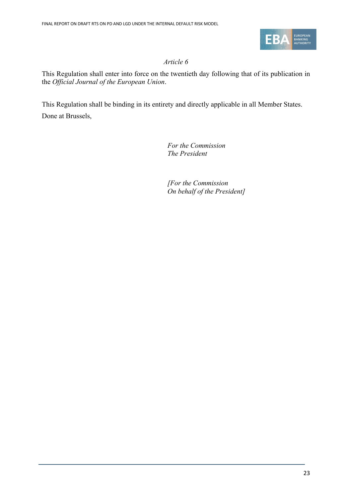

### *Article 6*

This Regulation shall enter into force on the twentieth day following that of its publication in the *Official Journal of the European Union*.

This Regulation shall be binding in its entirety and directly applicable in all Member States. Done at Brussels,

*For the Commission The President*

*[For the Commission On behalf of the President]*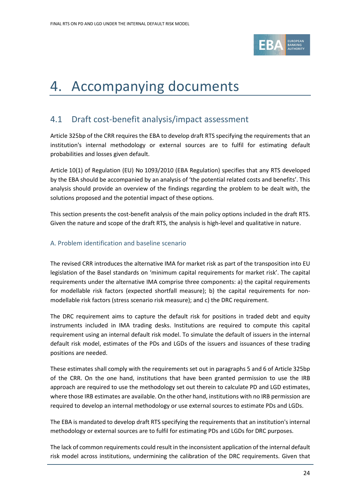

# <span id="page-23-0"></span>4. Accompanying documents

## <span id="page-23-1"></span>4.1 Draft cost-benefit analysis/impact assessment

Article 325bp of the CRR requires the EBA to develop draft RTS specifying the requirements that an institution's internal methodology or external sources are to fulfil for estimating default probabilities and losses given default.

Article 10(1) of Regulation (EU) No 1093/2010 (EBA Regulation) specifies that any RTS developed by the EBA should be accompanied by an analysis of 'the potential related costs and benefits'. This analysis should provide an overview of the findings regarding the problem to be dealt with, the solutions proposed and the potential impact of these options.

This section presents the cost-benefit analysis of the main policy options included in the draft RTS. Given the nature and scope of the draft RTS, the analysis is high-level and qualitative in nature.

### A. Problem identification and baseline scenario

The revised CRR introduces the alternative IMA for market risk as part of the transposition into EU legislation of the Basel standards on 'minimum capital requirements for market risk'. The capital requirements under the alternative IMA comprise three components: a) the capital requirements for modellable risk factors (expected shortfall measure); b) the capital requirements for nonmodellable risk factors (stress scenario risk measure); and c) the DRC requirement.

The DRC requirement aims to capture the default risk for positions in traded debt and equity instruments included in IMA trading desks. Institutions are required to compute this capital requirement using an internal default risk model. To simulate the default of issuers in the internal default risk model, estimates of the PDs and LGDs of the issuers and issuances of these trading positions are needed.

These estimates shall comply with the requirements set out in paragraphs 5 and 6 of Article 325bp of the CRR. On the one hand, institutions that have been granted permission to use the IRB approach are required to use the methodology set out therein to calculate PD and LGD estimates, where those IRB estimates are available. On the other hand, institutions with no IRB permission are required to develop an internal methodology or use external sources to estimate PDs and LGDs.

The EBA is mandated to develop draft RTS specifying the requirements that an institution's internal methodology or external sources are to fulfil for estimating PDs and LGDs for DRC purposes.

The lack of common requirements could result in the inconsistent application of the internal default risk model across institutions, undermining the calibration of the DRC requirements. Given that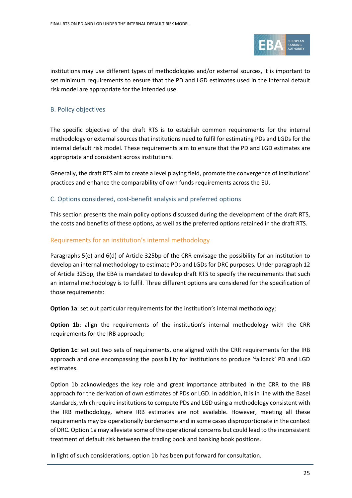

institutions may use different types of methodologies and/or external sources, it is important to set minimum requirements to ensure that the PD and LGD estimates used in the internal default risk model are appropriate for the intended use.

#### B. Policy objectives

The specific objective of the draft RTS is to establish common requirements for the internal methodology or external sources that institutions need to fulfil for estimating PDs and LGDs for the internal default risk model. These requirements aim to ensure that the PD and LGD estimates are appropriate and consistent across institutions.

Generally, the draft RTS aim to create a level playing field, promote the convergence of institutions' practices and enhance the comparability of own funds requirements across the EU.

#### C. Options considered, cost-benefit analysis and preferred options

This section presents the main policy options discussed during the development of the draft RTS, the costs and benefits of these options, as well as the preferred options retained in the draft RTS.

#### Requirements for an institution's internal methodology

Paragraphs 5(e) and 6(d) of Article 325bp of the CRR envisage the possibility for an institution to develop an internal methodology to estimate PDs and LGDs for DRC purposes. Under paragraph 12 of Article 325bp, the EBA is mandated to develop draft RTS to specify the requirements that such an internal methodology is to fulfil. Three different options are considered for the specification of those requirements:

**Option 1a**: set out particular requirements for the institution's internal methodology;

**Option 1b:** align the requirements of the institution's internal methodology with the CRR requirements for the IRB approach;

**Option 1c**: set out two sets of requirements, one aligned with the CRR requirements for the IRB approach and one encompassing the possibility for institutions to produce 'fallback' PD and LGD estimates.

Option 1b acknowledges the key role and great importance attributed in the CRR to the IRB approach for the derivation of own estimates of PDs or LGD. In addition, it is in line with the Basel standards, which require institutions to compute PDs and LGD using a methodology consistent with the IRB methodology, where IRB estimates are not available. However, meeting all these requirements may be operationally burdensome and in some cases disproportionate in the context of DRC. Option 1a may alleviate some of the operational concerns but could lead to the inconsistent treatment of default risk between the trading book and banking book positions.

In light of such considerations, option 1b has been put forward for consultation.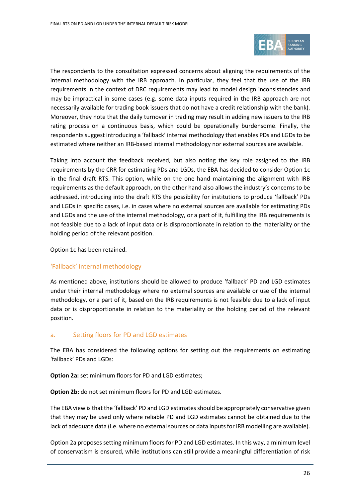

The respondents to the consultation expressed concerns about aligning the requirements of the internal methodology with the IRB approach. In particular, they feel that the use of the IRB requirements in the context of DRC requirements may lead to model design inconsistencies and may be impractical in some cases (e.g. some data inputs required in the IRB approach are not necessarily available for trading book issuers that do not have a credit relationship with the bank). Moreover, they note that the daily turnover in trading may result in adding new issuers to the IRB rating process on a continuous basis, which could be operationally burdensome. Finally, the respondents suggest introducing a 'fallback' internal methodology that enables PDs and LGDs to be estimated where neither an IRB-based internal methodology nor external sources are available.

Taking into account the feedback received, but also noting the key role assigned to the IRB requirements by the CRR for estimating PDs and LGDs, the EBA has decided to consider Option 1c in the final draft RTS. This option, while on the one hand maintaining the alignment with IRB requirements as the default approach, on the other hand also allows the industry's concerns to be addressed, introducing into the draft RTS the possibility for institutions to produce 'fallback' PDs and LGDs in specific cases, i.e. in cases where no external sources are available for estimating PDs and LGDs and the use of the internal methodology, or a part of it, fulfilling the IRB requirements is not feasible due to a lack of input data or is disproportionate in relation to the materiality or the holding period of the relevant position.

Option 1c has been retained.

#### 'Fallback' internal methodology

As mentioned above, institutions should be allowed to produce 'fallback' PD and LGD estimates under their internal methodology where no external sources are available or use of the internal methodology, or a part of it, based on the IRB requirements is not feasible due to a lack of input data or is disproportionate in relation to the materiality or the holding period of the relevant position.

#### a. Setting floors for PD and LGD estimates

The EBA has considered the following options for setting out the requirements on estimating 'fallback' PDs and LGDs:

**Option 2a:** set minimum floors for PD and LGD estimates;

**Option 2b:** do not set minimum floors for PD and LGD estimates.

The EBA view isthat the 'fallback' PD and LGD estimates should be appropriately conservative given that they may be used only where reliable PD and LGD estimates cannot be obtained due to the lack of adequate data (i.e. where no external sources or data inputs for IRB modelling are available).

Option 2a proposes setting minimum floors for PD and LGD estimates. In this way, a minimum level of conservatism is ensured, while institutions can still provide a meaningful differentiation of risk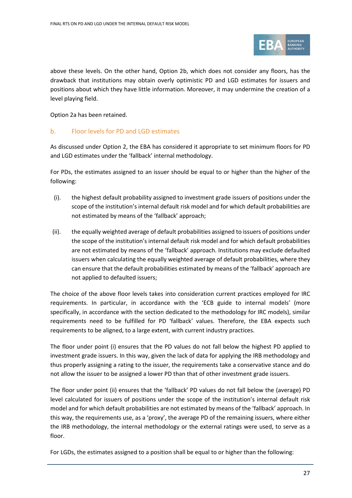

above these levels. On the other hand, Option 2b, which does not consider any floors, has the drawback that institutions may obtain overly optimistic PD and LGD estimates for issuers and positions about which they have little information. Moreover, it may undermine the creation of a level playing field.

Option 2a has been retained.

#### b. Floor levels for PD and LGD estimates

As discussed under Option 2, the EBA has considered it appropriate to set minimum floors for PD and LGD estimates under the 'fallback' internal methodology.

For PDs, the estimates assigned to an issuer should be equal to or higher than the higher of the following:

- (i). the highest default probability assigned to investment grade issuers of positions under the scope of the institution's internal default risk model and for which default probabilities are not estimated by means of the 'fallback' approach;
- (ii). the equally weighted average of default probabilities assigned to issuers of positions under the scope of the institution's internal default risk model and for which default probabilities are not estimated by means of the 'fallback' approach. Institutions may exclude defaulted issuers when calculating the equally weighted average of default probabilities, where they can ensure that the default probabilities estimated by means of the 'fallback' approach are not applied to defaulted issuers;

The choice of the above floor levels takes into consideration current practices employed for IRC requirements. In particular, in accordance with the 'ECB guide to internal models' (more specifically, in accordance with the section dedicated to the methodology for IRC models), similar requirements need to be fulfilled for PD 'fallback' values. Therefore, the EBA expects such requirements to be aligned, to a large extent, with current industry practices.

The floor under point (i) ensures that the PD values do not fall below the highest PD applied to investment grade issuers. In this way, given the lack of data for applying the IRB methodology and thus properly assigning a rating to the issuer, the requirements take a conservative stance and do not allow the issuer to be assigned a lower PD than that of other investment grade issuers.

The floor under point (ii) ensures that the 'fallback' PD values do not fall below the (average) PD level calculated for issuers of positions under the scope of the institution's internal default risk model and for which default probabilities are not estimated by means of the 'fallback' approach. In this way, the requirements use, as a 'proxy', the average PD of the remaining issuers, where either the IRB methodology, the internal methodology or the external ratings were used, to serve as a floor.

For LGDs, the estimates assigned to a position shall be equal to or higher than the following: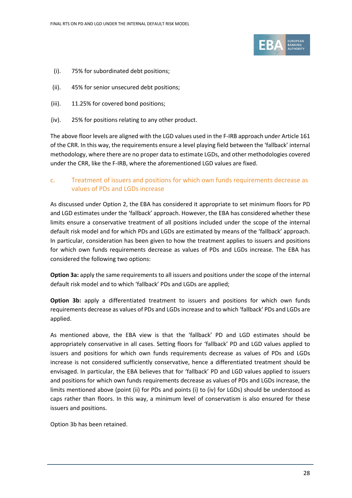

- (i). 75% for subordinated debt positions;
- (ii). 45% for senior unsecured debt positions;
- (iii). 11.25% for covered bond positions;
- (iv). 25% for positions relating to any other product.

The above floor levels are aligned with the LGD values used in the F-IRB approach under Article 161 of the CRR. In this way, the requirements ensure a level playing field between the 'fallback' internal methodology, where there are no proper data to estimate LGDs, and other methodologies covered under the CRR, like the F-IRB, where the aforementioned LGD values are fixed.

#### c. Treatment of issuers and positions for which own funds requirements decrease as values of PDs and LGDs increase

As discussed under Option 2, the EBA has considered it appropriate to set minimum floors for PD and LGD estimates under the 'fallback' approach. However, the EBA has considered whether these limits ensure a conservative treatment of all positions included under the scope of the internal default risk model and for which PDs and LGDs are estimated by means of the 'fallback' approach. In particular, consideration has been given to how the treatment applies to issuers and positions for which own funds requirements decrease as values of PDs and LGDs increase. The EBA has considered the following two options:

**Option 3a:** apply the same requirements to all issuers and positions under the scope of the internal default risk model and to which 'fallback' PDs and LGDs are applied;

**Option 3b:** apply a differentiated treatment to issuers and positions for which own funds requirements decrease as values of PDs and LGDs increase and to which 'fallback' PDs and LGDs are applied.

As mentioned above, the EBA view is that the 'fallback' PD and LGD estimates should be appropriately conservative in all cases. Setting floors for 'fallback' PD and LGD values applied to issuers and positions for which own funds requirements decrease as values of PDs and LGDs increase is not considered sufficiently conservative, hence a differentiated treatment should be envisaged. In particular, the EBA believes that for 'fallback' PD and LGD values applied to issuers and positions for which own funds requirements decrease as values of PDs and LGDs increase, the limits mentioned above (point (ii) for PDs and points (i) to (iv) for LGDs) should be understood as caps rather than floors. In this way, a minimum level of conservatism is also ensured for these issuers and positions.

Option 3b has been retained.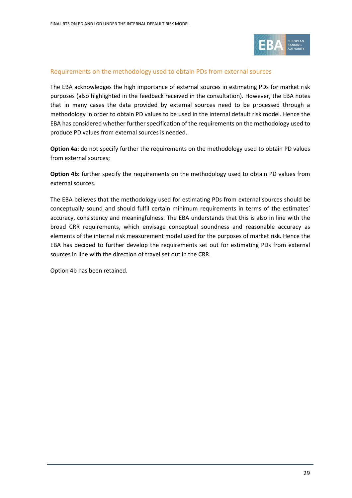

#### Requirements on the methodology used to obtain PDs from external sources

The EBA acknowledges the high importance of external sources in estimating PDs for market risk purposes (also highlighted in the feedback received in the consultation). However, the EBA notes that in many cases the data provided by external sources need to be processed through a methodology in order to obtain PD values to be used in the internal default risk model. Hence the EBA has considered whether further specification of the requirements on the methodology used to produce PD values from external sources is needed.

**Option 4a:** do not specify further the requirements on the methodology used to obtain PD values from external sources;

**Option 4b:** further specify the requirements on the methodology used to obtain PD values from external sources.

The EBA believes that the methodology used for estimating PDs from external sources should be conceptually sound and should fulfil certain minimum requirements in terms of the estimates' accuracy, consistency and meaningfulness. The EBA understands that this is also in line with the broad CRR requirements, which envisage conceptual soundness and reasonable accuracy as elements of the internal risk measurement model used for the purposes of market risk. Hence the EBA has decided to further develop the requirements set out for estimating PDs from external sources in line with the direction of travel set out in the CRR.

Option 4b has been retained.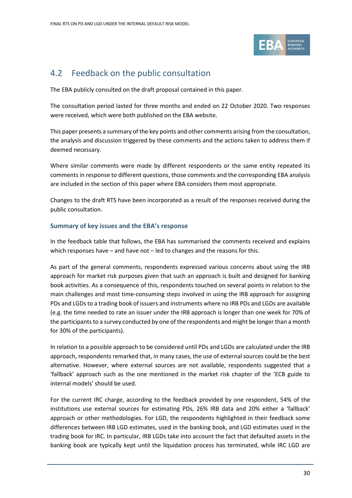

## <span id="page-29-0"></span>4.2 Feedback on the public consultation

The EBA publicly consulted on the draft proposal contained in this paper.

The consultation period lasted for three months and ended on 22 October 2020. Two responses were received, which were both published on the EBA website.

This paper presents a summary of the key points and other comments arising from the consultation, the analysis and discussion triggered by these comments and the actions taken to address them if deemed necessary.

Where similar comments were made by different respondents or the same entity repeated its comments in response to different questions, those comments and the corresponding EBA analysis are included in the section of this paper where EBA considers them most appropriate.

Changes to the draft RTS have been incorporated as a result of the responses received during the public consultation.

#### **Summary of key issues and the EBA's response**

In the feedback table that follows, the EBA has summarised the comments received and explains which responses have – and have not – led to changes and the reasons for this.

As part of the general comments, respondents expressed various concerns about using the IRB approach for market risk purposes given that such an approach is built and designed for banking book activities. As a consequence of this, respondents touched on several points in relation to the main challenges and most time-consuming steps involved in using the IRB approach for assigning PDs and LGDs to a trading book of issuers and instruments where no IRB PDs and LGDs are available (e.g. the time needed to rate an issuer under the IRB approach is longer than one week for 70% of the participants to a survey conducted by one of the respondents and might be longer than a month for 30% of the participants).

In relation to a possible approach to be considered until PDs and LGDs are calculated under the IRB approach, respondents remarked that, in many cases, the use of external sources could be the best alternative. However, where external sources are not available, respondents suggested that a 'fallback' approach such as the one mentioned in the market risk chapter of the 'ECB guide to internal models' should be used.

For the current IRC charge, according to the feedback provided by one respondent, 54% of the institutions use external sources for estimating PDs, 26% IRB data and 20% either a 'fallback' approach or other methodologies. For LGD, the respondents highlighted in their feedback some differences between IRB LGD estimates, used in the banking book, and LGD estimates used in the trading book for IRC. In particular, IRB LGDs take into account the fact that defaulted assets in the banking book are typically kept until the liquidation process has terminated, while IRC LGD are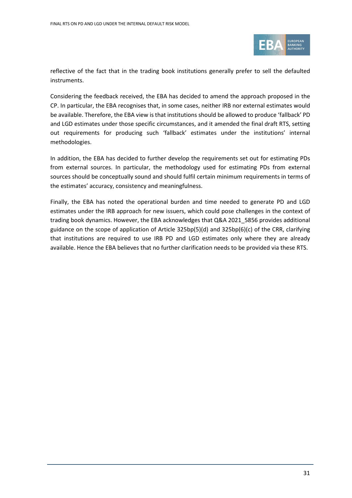

reflective of the fact that in the trading book institutions generally prefer to sell the defaulted instruments.

Considering the feedback received, the EBA has decided to amend the approach proposed in the CP. In particular, the EBA recognises that, in some cases, neither IRB nor external estimates would be available. Therefore, the EBA view is that institutions should be allowed to produce 'fallback' PD and LGD estimates under those specific circumstances, and it amended the final draft RTS, setting out requirements for producing such 'fallback' estimates under the institutions' internal methodologies.

In addition, the EBA has decided to further develop the requirements set out for estimating PDs from external sources. In particular, the methodology used for estimating PDs from external sources should be conceptually sound and should fulfil certain minimum requirements in terms of the estimates' accuracy, consistency and meaningfulness.

Finally, the EBA has noted the operational burden and time needed to generate PD and LGD estimates under the IRB approach for new issuers, which could pose challenges in the context of trading book dynamics. However, the EBA acknowledges that Q&A 2021\_5856 provides additional guidance on the scope of application of Article 325bp(5)(d) and 325bp(6)(c) of the CRR, clarifying that institutions are required to use IRB PD and LGD estimates only where they are already available. Hence the EBA believes that no further clarification needs to be provided via these RTS.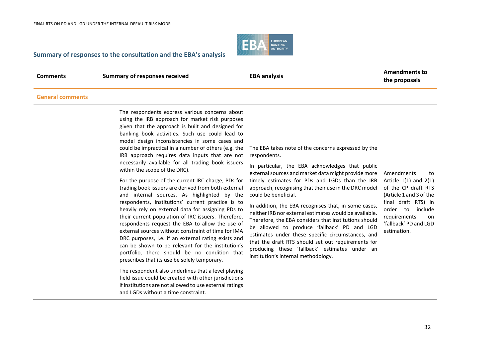

#### **Summary of responses to the consultation and the EBA's analysis**

**Comments Summary of responses received EBA analysis EBA analysis Amendments to the proposals**

#### **General comments**

The respondents express various concerns about using the IRB approach for market risk purposes given that the approach is built and designed for banking book activities. Such use could lead to model design inconsistencies in some cases and could be impractical in a number of others (e.g. the IRB approach requires data inputs that are not necessarily available for all trading book issuers within the scope of the DRC).

For the purpose of the current IRC charge, PDs for trading book issuers are derived from both external and internal sources. As highlighted by the respondents, institutions' current practice is to heavily rely on external data for assigning PDs to their current population of IRC issuers. Therefore, respondents request the EBA to allow the use of external sources without constraint of time for IMA DRC purposes, i.e. if an external rating exists and can be shown to be relevant for the institution's portfolio, there should be no condition that prescribes that its use be solely temporary.

The respondent also underlines that a level playing field issue could be created with other jurisdictions if institutions are not allowed to use external ratings and LGDs without a time constraint.

The EBA takes note of the concerns expressed by the respondents.

In particular, the EBA acknowledges that public external sources and market data might provide more timely estimates for PDs and LGDs than the IRB approach, recognising that their use in the DRC model could be beneficial.

In addition, the EBA recognises that, in some cases, neither IRB nor external estimates would be available. Therefore, the EBA considers that institutions should be allowed to produce 'fallback' PD and LGD estimates under these specific circumstances, and that the draft RTS should set out requirements for producing these 'fallback' estimates under an institution's internal methodology.

Amendments to Article 1(1) and 2(1) of the CP draft RTS (Article 1 and 3 of the final draft RTS) in order to include requirements on 'fallback' PD and LGD estimation.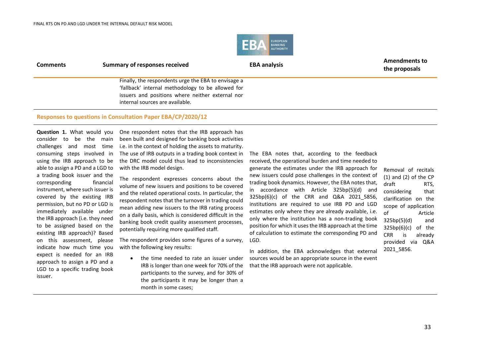

| <b>Comments</b> | Summary of responses received                                                                                                                                                                   | <b>EBA analysis</b> | <b>Amendments to</b><br>the proposals |  |  |
|-----------------|-------------------------------------------------------------------------------------------------------------------------------------------------------------------------------------------------|---------------------|---------------------------------------|--|--|
|                 | Finally, the respondents urge the EBA to envisage a<br>'fallback' internal methodology to be allowed for<br>issuers and positions where neither external nor<br>internal sources are available. |                     |                                       |  |  |
|                 | Responses to questions in Consultation Paper EBA/CP/2020/12                                                                                                                                     |                     |                                       |  |  |

**Question 1.** What would you consider to be the main challenges and most time consuming steps involved in using the IRB approach to be able to assign a PD and a LGD to a trading book issuer and the corresponding financial instrument, where such issuer is covered by the existing IRB permission, but no PD or LGD is immediately available under the IRB approach (i.e. they need to be assigned based on the existing IRB approach)? Based on this assessment, please indicate how much time you expect is needed for an IRB approach to assign a PD and a LGD to a specific trading book issuer.

One respondent notes that the IRB approach has been built and designed for banking book activities i.e. in the context of holding the assets to maturity. The use of IRB outputs in a trading book context in the DRC model could thus lead to inconsistencies with the IRB model design.

The respondent expresses concerns about the volume of new issuers and positions to be covered and the related operational costs. In particular, the respondent notes that the turnover in trading could mean adding new issuers to the IRB rating process on a daily basis, which is considered difficult in the banking book credit quality assessment processes, potentially requiring more qualified staff.

The respondent provides some figures of a survey, with the following key results:

> the time needed to rate an issuer under IRB is longer than one week for 70% of the participants to the survey, and for 30% of the participants it may be longer than a month in some cases;

The EBA notes that, according to the feedback received, the operational burden and time needed to

generate the estimates under the IRB approach for new issuers could pose challenges in the context of trading book dynamics. However, the EBA notes that, in accordance with Article 325bp(5)(d) and 325bp(6)(c) of the CRR and Q&A 2021\_5856, institutions are required to use IRB PD and LGD estimates only where they are already available, i.e. only where the institution has a non-trading book position for which it uses the IRB approach at the time of calculation to estimate the corresponding PD and LGD.

In addition, the EBA acknowledges that external sources would be an appropriate source in the event that the IRB approach were not applicable.

Removal of recitals (1) and (2) of the CP draft RTS, considering that clarification on the scope of application of Article 325bp(5)(d) and 325bp(6)(c) of the CRR is already provided via Q&A 2021\_5856.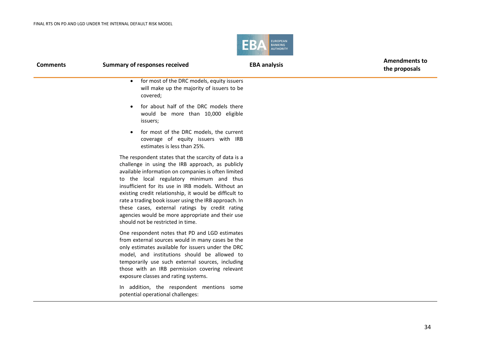$\overline{\phantom{0}}$ 



| <b>Comments</b> | <b>Summary of responses received</b>                                                                                                                                                                                                                                                                                                                                                                                                                                                                                            | <b>EBA analysis</b> | <b>Amendments to</b><br>the proposals |
|-----------------|---------------------------------------------------------------------------------------------------------------------------------------------------------------------------------------------------------------------------------------------------------------------------------------------------------------------------------------------------------------------------------------------------------------------------------------------------------------------------------------------------------------------------------|---------------------|---------------------------------------|
|                 | for most of the DRC models, equity issuers<br>$\bullet$<br>will make up the majority of issuers to be<br>covered;                                                                                                                                                                                                                                                                                                                                                                                                               |                     |                                       |
|                 | for about half of the DRC models there<br>$\bullet$<br>would be more than 10,000 eligible<br>issuers;                                                                                                                                                                                                                                                                                                                                                                                                                           |                     |                                       |
|                 | for most of the DRC models, the current<br>$\bullet$<br>coverage of equity issuers with IRB<br>estimates is less than 25%.                                                                                                                                                                                                                                                                                                                                                                                                      |                     |                                       |
|                 | The respondent states that the scarcity of data is a<br>challenge in using the IRB approach, as publicly<br>available information on companies is often limited<br>to the local regulatory minimum and thus<br>insufficient for its use in IRB models. Without an<br>existing credit relationship, it would be difficult to<br>rate a trading book issuer using the IRB approach. In<br>these cases, external ratings by credit rating<br>agencies would be more appropriate and their use<br>should not be restricted in time. |                     |                                       |
|                 | One respondent notes that PD and LGD estimates<br>from external sources would in many cases be the<br>only estimates available for issuers under the DRC<br>model, and institutions should be allowed to<br>temporarily use such external sources, including<br>those with an IRB permission covering relevant<br>exposure classes and rating systems.                                                                                                                                                                          |                     |                                       |

In addition, the respondent mentions some potential operational challenges: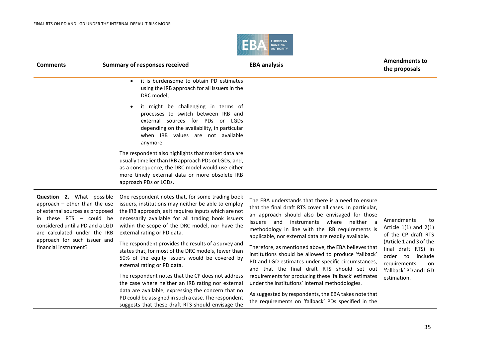

| <b>Comments</b>                                                                                                                                                                               | <b>Summary of responses received</b>                                                                                                                                                                                                                                                                     | <b>EBA analysis</b>                                                                                                                                                                                                                                                                                                     | <b>Amendments to</b><br>the proposals                                                                                 |
|-----------------------------------------------------------------------------------------------------------------------------------------------------------------------------------------------|----------------------------------------------------------------------------------------------------------------------------------------------------------------------------------------------------------------------------------------------------------------------------------------------------------|-------------------------------------------------------------------------------------------------------------------------------------------------------------------------------------------------------------------------------------------------------------------------------------------------------------------------|-----------------------------------------------------------------------------------------------------------------------|
|                                                                                                                                                                                               | it is burdensome to obtain PD estimates<br>$\bullet$<br>using the IRB approach for all issuers in the<br>DRC model;                                                                                                                                                                                      |                                                                                                                                                                                                                                                                                                                         |                                                                                                                       |
|                                                                                                                                                                                               | it might be challenging in terms of<br>$\bullet$<br>processes to switch between IRB and<br>external sources for PDs or LGDs<br>depending on the availability, in particular<br>when IRB values are not available<br>anymore.                                                                             |                                                                                                                                                                                                                                                                                                                         |                                                                                                                       |
|                                                                                                                                                                                               | The respondent also highlights that market data are<br>usually timelier than IRB approach PDs or LGDs, and,<br>as a consequence, the DRC model would use either<br>more timely external data or more obsolete IRB<br>approach PDs or LGDs.                                                               |                                                                                                                                                                                                                                                                                                                         |                                                                                                                       |
| Question 2. What possible<br>approach $-$ other than the use<br>of external sources as proposed<br>in these RTS - could be<br>considered until a PD and a LGD<br>are calculated under the IRB | One respondent notes that, for some trading book<br>issuers, institutions may neither be able to employ<br>the IRB approach, as it requires inputs which are not<br>necessarily available for all trading book issuers<br>within the scope of the DRC model, nor have the<br>external rating or PD data. | The EBA understands that there is a need to ensure<br>that the final draft RTS cover all cases. In particular,<br>an approach should also be envisaged for those<br>issuers and instruments where neither a<br>methodology in line with the IRB requirements is<br>applicable, nor external data are readily available. | Amendments<br>to<br>Article $1(1)$ and $2(1)$<br>of the CP draft RTS                                                  |
| approach for such issuer and<br>financial instrument?                                                                                                                                         | The respondent provides the results of a survey and<br>states that, for most of the DRC models, fewer than<br>50% of the equity issuers would be covered by<br>external rating or PD data.                                                                                                               | Therefore, as mentioned above, the EBA believes that<br>institutions should be allowed to produce 'fallback'<br>PD and LGD estimates under specific circumstances,<br>and that the final draft RTS should set out                                                                                                       | (Article 1 and 3 of the<br>final draft RTS) in<br>include<br>order to<br>requirements<br>on.<br>'fallback' PD and LGD |
|                                                                                                                                                                                               | The respondent notes that the CP does not address                                                                                                                                                                                                                                                        | requirements for producing these 'fallback' estimates                                                                                                                                                                                                                                                                   | estimation.                                                                                                           |
|                                                                                                                                                                                               | the case where neither an IRB rating nor external<br>data are available, expressing the concern that no                                                                                                                                                                                                  | under the institutions' internal methodologies.                                                                                                                                                                                                                                                                         |                                                                                                                       |
|                                                                                                                                                                                               | PD could be assigned in such a case. The respondent<br>suggests that these draft RTS should envisage the                                                                                                                                                                                                 | As suggested by respondents, the EBA takes note that<br>the requirements on 'fallback' PDs specified in the                                                                                                                                                                                                             |                                                                                                                       |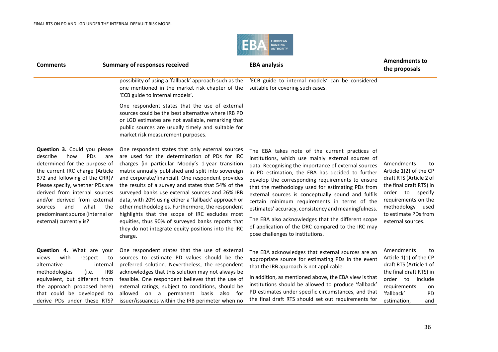

| <b>Comments</b>                                                                                                                                                                                                                                                                                                                                                               | <b>Summary of responses received</b>                                                                                                                                                                                                                                                                                                                                                                                                                                                                                                                                                                                                                           | <b>EBA analysis</b>                                                                                                                                                                                                                                                                                                                                                                                                                                                                                                                                                                                                                    | <b>Amendments to</b><br>the proposals                                                                                                                                                                        |
|-------------------------------------------------------------------------------------------------------------------------------------------------------------------------------------------------------------------------------------------------------------------------------------------------------------------------------------------------------------------------------|----------------------------------------------------------------------------------------------------------------------------------------------------------------------------------------------------------------------------------------------------------------------------------------------------------------------------------------------------------------------------------------------------------------------------------------------------------------------------------------------------------------------------------------------------------------------------------------------------------------------------------------------------------------|----------------------------------------------------------------------------------------------------------------------------------------------------------------------------------------------------------------------------------------------------------------------------------------------------------------------------------------------------------------------------------------------------------------------------------------------------------------------------------------------------------------------------------------------------------------------------------------------------------------------------------------|--------------------------------------------------------------------------------------------------------------------------------------------------------------------------------------------------------------|
|                                                                                                                                                                                                                                                                                                                                                                               | possibility of using a 'fallback' approach such as the<br>one mentioned in the market risk chapter of the<br>'ECB guide to internal models'.                                                                                                                                                                                                                                                                                                                                                                                                                                                                                                                   | 'ECB guide to internal models' can be considered<br>suitable for covering such cases.                                                                                                                                                                                                                                                                                                                                                                                                                                                                                                                                                  |                                                                                                                                                                                                              |
|                                                                                                                                                                                                                                                                                                                                                                               | One respondent states that the use of external<br>sources could be the best alternative where IRB PD<br>or LGD estimates are not available, remarking that<br>public sources are usually timely and suitable for<br>market risk measurement purposes.                                                                                                                                                                                                                                                                                                                                                                                                          |                                                                                                                                                                                                                                                                                                                                                                                                                                                                                                                                                                                                                                        |                                                                                                                                                                                                              |
| Question 3. Could you please<br>describe<br>how<br><b>PDs</b><br>are<br>determined for the purpose of<br>the current IRC charge (Article<br>372 and following of the CRR)?<br>Please specify, whether PDs are<br>derived from internal sources<br>and/or derived from external<br>and<br>what<br>the<br>sources<br>predominant source (internal or<br>external) currently is? | One respondent states that only external sources<br>are used for the determination of PDs for IRC<br>charges (in particular Moody's 1-year transition<br>matrix annually published and split into sovereign<br>and corporate/financial). One respondent provides<br>the results of a survey and states that 54% of the<br>surveyed banks use external sources and 26% IRB<br>data, with 20% using either a 'fallback' approach or<br>other methodologies. Furthermore, the respondent<br>highlights that the scope of IRC excludes most<br>equities, thus 90% of surveyed banks reports that<br>they do not integrate equity positions into the IRC<br>charge. | The EBA takes note of the current practices of<br>institutions, which use mainly external sources of<br>data. Recognising the importance of external sources<br>in PD estimation, the EBA has decided to further<br>develop the corresponding requirements to ensure<br>that the methodology used for estimating PDs from<br>external sources is conceptually sound and fulfils<br>certain minimum requirements in terms of the<br>estimates' accuracy, consistency and meaningfulness.<br>The EBA also acknowledges that the different scope<br>of application of the DRC compared to the IRC may<br>pose challenges to institutions. | Amendments<br>to<br>Article 1(2) of the CP<br>draft RTS (Article 2 of<br>the final draft RTS) in<br>order to specify<br>requirements on the<br>methodology used<br>to estimate PDs from<br>external sources. |
| <b>Question 4.</b> What are your<br>with<br>views<br>respect<br>to<br>alternative<br>internal<br><b>IRB</b><br>methodologies<br>(i.e.<br>equivalent, but different from<br>the approach proposed here)<br>that could be developed to<br>derive PDs under these RTS?                                                                                                           | One respondent states that the use of external<br>sources to estimate PD values should be the<br>preferred solution. Nevertheless, the respondent<br>acknowledges that this solution may not always be<br>feasible. One respondent believes that the use of<br>external ratings, subject to conditions, should be<br>allowed on a permanent basis<br>also for<br>issuer/issuances within the IRB perimeter when no                                                                                                                                                                                                                                             | The EBA acknowledges that external sources are an<br>appropriate source for estimating PDs in the event<br>that the IRB approach is not applicable.<br>In addition, as mentioned above, the EBA view is that<br>institutions should be allowed to produce 'fallback'<br>PD estimates under specific circumstances, and that<br>the final draft RTS should set out requirements for                                                                                                                                                                                                                                                     | Amendments<br>to<br>Article 1(1) of the CP<br>draft RTS (Article 1 of<br>the final draft RTS) in<br>order to include<br>requirements<br>on<br>'fallback'<br>PD<br>estimation,<br>and                         |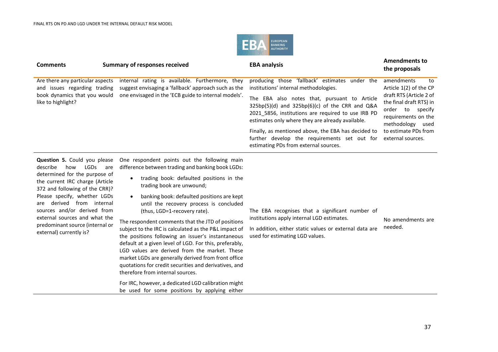

| internal rating is available. Furthermore, they<br>producing those 'fallback' estimates<br>amendments<br>Are there any particular aspects<br>to<br>under the<br>suggest envisaging a 'fallback' approach such as the<br>institutions' internal methodologies.<br>Article 1(2) of the CP<br>and issues regarding trading<br>one envisaged in the 'ECB guide to internal models'.<br>book dynamics that you would<br>draft RTS (Article 2 of<br>EBA also notes that, pursuant to Article<br>The<br>like to highlight?<br>the final draft RTS) in<br>$325bp(5)(d)$ and $325bp(6)(c)$ of the CRR and Q&A<br>specify<br>order<br>to<br>2021 5856, institutions are required to use IRB PD<br>requirements on the<br>estimates only where they are already available.<br>methodology used<br>Finally, as mentioned above, the EBA has decided to<br>to estimate PDs from<br>further develop the requirements set out for<br>external sources.<br>estimating PDs from external sources. | <b>Comments</b> | <b>Summary of responses received</b> | <b>EBA analysis</b> | <b>Amendments to</b><br>the proposals |
|----------------------------------------------------------------------------------------------------------------------------------------------------------------------------------------------------------------------------------------------------------------------------------------------------------------------------------------------------------------------------------------------------------------------------------------------------------------------------------------------------------------------------------------------------------------------------------------------------------------------------------------------------------------------------------------------------------------------------------------------------------------------------------------------------------------------------------------------------------------------------------------------------------------------------------------------------------------------------------|-----------------|--------------------------------------|---------------------|---------------------------------------|
|                                                                                                                                                                                                                                                                                                                                                                                                                                                                                                                                                                                                                                                                                                                                                                                                                                                                                                                                                                                  |                 |                                      |                     |                                       |

**Question 5.** Could you please describe how LGDs are determined for the purpose of the current IRC charge (Article 372 and following of the CRR)? Please specify, whether LGDs are derived from internal sources and/or derived from external sources and what the predominant source (internal or external) currently is?

One respondent points out the following main difference between trading and banking book LGDs:

- trading book: defaulted positions in the trading book are unwound;
- banking book: defaulted positions are kept until the recovery process is concluded (thus, LGD=1-recovery rate).

The respondent comments that the JTD of positions subject to the IRC is calculated as the P&L impact of the positions following an issuer's instantaneous default at a given level of LGD. For this, preferably, LGD values are derived from the market. These market LGDs are generally derived from front office quotations for credit securities and derivatives, and therefore from internal sources.

For IRC, however, a dedicated LGD calibration might be used for some positions by applying either

The EBA recognises that a significant number of institutions apply internal LGD estimates.

#### No amendments are

In addition, either static values or external data are used for estimating LGD values. needed.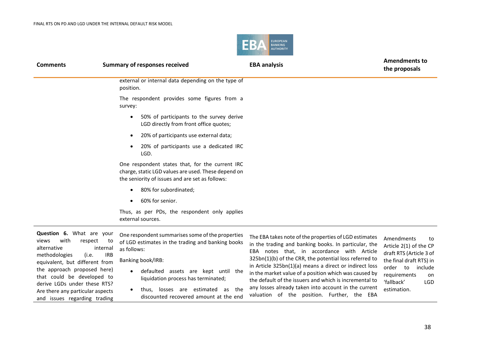

| <b>Comments</b>                                                                                                                | <b>Summary of responses received</b>                                                                                                                      | <b>EBA analysis</b>                                                                                                                                                                                                                                                              | <b>Amendments to</b><br>the proposals                                                            |
|--------------------------------------------------------------------------------------------------------------------------------|-----------------------------------------------------------------------------------------------------------------------------------------------------------|----------------------------------------------------------------------------------------------------------------------------------------------------------------------------------------------------------------------------------------------------------------------------------|--------------------------------------------------------------------------------------------------|
|                                                                                                                                | external or internal data depending on the type of<br>position.                                                                                           |                                                                                                                                                                                                                                                                                  |                                                                                                  |
|                                                                                                                                | The respondent provides some figures from a<br>survey:                                                                                                    |                                                                                                                                                                                                                                                                                  |                                                                                                  |
|                                                                                                                                | 50% of participants to the survey derive<br>$\bullet$<br>LGD directly from front office quotes;                                                           |                                                                                                                                                                                                                                                                                  |                                                                                                  |
|                                                                                                                                | 20% of participants use external data;                                                                                                                    |                                                                                                                                                                                                                                                                                  |                                                                                                  |
|                                                                                                                                | 20% of participants use a dedicated IRC<br>LGD.                                                                                                           |                                                                                                                                                                                                                                                                                  |                                                                                                  |
|                                                                                                                                | One respondent states that, for the current IRC<br>charge, static LGD values are used. These depend on<br>the seniority of issues and are set as follows: |                                                                                                                                                                                                                                                                                  |                                                                                                  |
|                                                                                                                                | 80% for subordinated;                                                                                                                                     |                                                                                                                                                                                                                                                                                  |                                                                                                  |
|                                                                                                                                | 60% for senior.                                                                                                                                           |                                                                                                                                                                                                                                                                                  |                                                                                                  |
|                                                                                                                                | Thus, as per PDs, the respondent only applies<br>external sources.                                                                                        |                                                                                                                                                                                                                                                                                  |                                                                                                  |
| Question 6. What are your<br>with<br>views<br>respect<br>to<br>alternative<br>internal<br>methodologies<br>(i.e.<br><b>IRB</b> | One respondent summarises some of the properties<br>of LGD estimates in the trading and banking books<br>as follows:                                      | The EBA takes note of the properties of LGD estimates<br>in the trading and banking books. In particular, the<br>EBA notes that, in accordance with Article<br>325bn(1)(b) of the CRR, the potential loss referred to                                                            | Amendments<br>to<br>Article 2(1) of the CP<br>draft RTS (Article 3 of                            |
| equivalent, but different from<br>the approach proposed here)<br>that could be developed to<br>derive LGDs under these RTS?    | Banking book/IRB:<br>defaulted assets are kept until the<br>liquidation process has terminated;                                                           | in Article 325bn(1)(a) means a direct or indirect loss<br>in the market value of a position which was caused by<br>the default of the issuers and which is incremental to<br>any losses already taken into account in the current<br>valuation of the position. Further, the EBA | the final draft RTS) in<br>order to<br>include<br>requirements<br>on<br>'fallback'<br><b>LGD</b> |
| Are there any particular aspects<br>and issues regarding trading                                                               | thus, losses are estimated<br>as the<br>discounted recovered amount at the end                                                                            |                                                                                                                                                                                                                                                                                  | estimation.                                                                                      |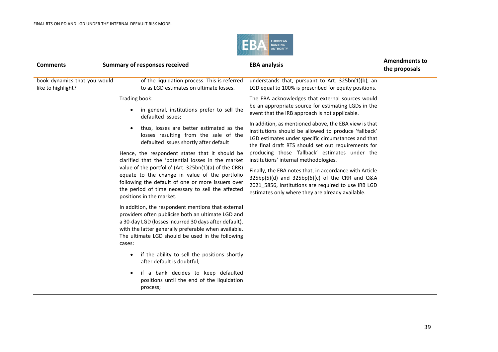

| <b>Comments</b>                                    | <b>Summary of responses received</b>                                                                                                                                                                                                                                                                                                                                                                                                                                                                                                                                                                | <b>EBA analysis</b>                                                                                                                                                                                                                                                                                                                                                                                                                                                                                                                                                                                                                                                                                             | <b>Amendments to</b><br>the proposals |
|----------------------------------------------------|-----------------------------------------------------------------------------------------------------------------------------------------------------------------------------------------------------------------------------------------------------------------------------------------------------------------------------------------------------------------------------------------------------------------------------------------------------------------------------------------------------------------------------------------------------------------------------------------------------|-----------------------------------------------------------------------------------------------------------------------------------------------------------------------------------------------------------------------------------------------------------------------------------------------------------------------------------------------------------------------------------------------------------------------------------------------------------------------------------------------------------------------------------------------------------------------------------------------------------------------------------------------------------------------------------------------------------------|---------------------------------------|
| book dynamics that you would<br>like to highlight? | of the liquidation process. This is referred<br>to as LGD estimates on ultimate losses.                                                                                                                                                                                                                                                                                                                                                                                                                                                                                                             | understands that, pursuant to Art. 325bn(1)(b), an<br>LGD equal to 100% is prescribed for equity positions.                                                                                                                                                                                                                                                                                                                                                                                                                                                                                                                                                                                                     |                                       |
|                                                    | Trading book:<br>in general, institutions prefer to sell the<br>$\bullet$<br>defaulted issues;<br>thus, losses are better estimated as the<br>$\bullet$<br>losses resulting from the sale of the<br>defaulted issues shortly after default<br>Hence, the respondent states that it should be<br>clarified that the 'potential losses in the market<br>value of the portfolio' (Art. 325bn(1)(a) of the CRR)<br>equate to the change in value of the portfolio<br>following the default of one or more issuers over<br>the period of time necessary to sell the affected<br>positions in the market. | The EBA acknowledges that external sources would<br>be an appropriate source for estimating LGDs in the<br>event that the IRB approach is not applicable.<br>In addition, as mentioned above, the EBA view is that<br>institutions should be allowed to produce 'fallback'<br>LGD estimates under specific circumstances and that<br>the final draft RTS should set out requirements for<br>producing those 'fallback' estimates under the<br>institutions' internal methodologies.<br>Finally, the EBA notes that, in accordance with Article<br>$325bp(5)(d)$ and $325bp(6)(c)$ of the CRR and Q&A<br>2021_5856, institutions are required to use IRB LGD<br>estimates only where they are already available. |                                       |
|                                                    | In addition, the respondent mentions that external<br>providers often publicise both an ultimate LGD and<br>a 30-day LGD (losses incurred 30 days after default),<br>with the latter generally preferable when available.<br>The ultimate LGD should be used in the following<br>cases:<br>if the ability to sell the positions shortly<br>$\bullet$<br>after default is doubtful;                                                                                                                                                                                                                  |                                                                                                                                                                                                                                                                                                                                                                                                                                                                                                                                                                                                                                                                                                                 |                                       |
|                                                    | if a bank decides to keep defaulted<br>$\bullet$<br>positions until the end of the liquidation<br>process;                                                                                                                                                                                                                                                                                                                                                                                                                                                                                          |                                                                                                                                                                                                                                                                                                                                                                                                                                                                                                                                                                                                                                                                                                                 |                                       |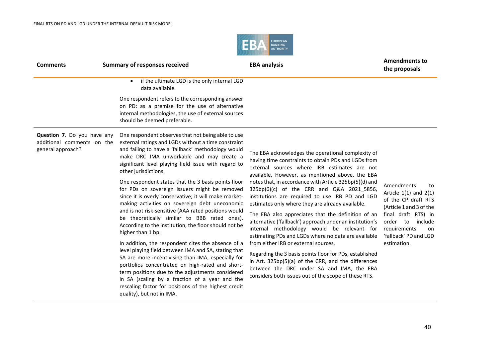

| <b>Comments</b>                                                                | <b>Summary of responses received</b>                                                                                                                                                                                                                                                                                                                                                                                                                                                                                                                                                                                                                                                                                                                                                                                                                                                                                                                                                                                                                                                                                    | <b>EBA analysis</b>                                                                                                                                                                                                                                                                                                                                                                                                                                                                                                                                                                                                                                                                                                                                                                                                                                                                                              | <b>Amendments to</b><br>the proposals                                                                                                                                                                       |
|--------------------------------------------------------------------------------|-------------------------------------------------------------------------------------------------------------------------------------------------------------------------------------------------------------------------------------------------------------------------------------------------------------------------------------------------------------------------------------------------------------------------------------------------------------------------------------------------------------------------------------------------------------------------------------------------------------------------------------------------------------------------------------------------------------------------------------------------------------------------------------------------------------------------------------------------------------------------------------------------------------------------------------------------------------------------------------------------------------------------------------------------------------------------------------------------------------------------|------------------------------------------------------------------------------------------------------------------------------------------------------------------------------------------------------------------------------------------------------------------------------------------------------------------------------------------------------------------------------------------------------------------------------------------------------------------------------------------------------------------------------------------------------------------------------------------------------------------------------------------------------------------------------------------------------------------------------------------------------------------------------------------------------------------------------------------------------------------------------------------------------------------|-------------------------------------------------------------------------------------------------------------------------------------------------------------------------------------------------------------|
|                                                                                | if the ultimate LGD is the only internal LGD<br>data available.<br>One respondent refers to the corresponding answer<br>on PD: as a premise for the use of alternative<br>internal methodologies, the use of external sources<br>should be deemed preferable.                                                                                                                                                                                                                                                                                                                                                                                                                                                                                                                                                                                                                                                                                                                                                                                                                                                           |                                                                                                                                                                                                                                                                                                                                                                                                                                                                                                                                                                                                                                                                                                                                                                                                                                                                                                                  |                                                                                                                                                                                                             |
| Question 7. Do you have any<br>additional comments on the<br>general approach? | One respondent observes that not being able to use<br>external ratings and LGDs without a time constraint<br>and failing to have a 'fallback' methodology would<br>make DRC IMA unworkable and may create a<br>significant level playing field issue with regard to<br>other jurisdictions.<br>One respondent states that the 3 basis points floor<br>for PDs on sovereign issuers might be removed<br>since it is overly conservative; it will make market-<br>making activities on sovereign debt uneconomic<br>and is not risk-sensitive (AAA rated positions would<br>be theoretically similar to BBB rated ones).<br>According to the institution, the floor should not be<br>higher than 1 bp.<br>In addition, the respondent cites the absence of a<br>level playing field between IMA and SA, stating that<br>SA are more incentivising than IMA, especially for<br>portfolios concentrated on high-rated and short-<br>term positions due to the adjustments considered<br>in SA (scaling by a fraction of a year and the<br>rescaling factor for positions of the highest credit<br>quality), but not in IMA. | The EBA acknowledges the operational complexity of<br>having time constraints to obtain PDs and LGDs from<br>external sources where IRB estimates are not<br>available. However, as mentioned above, the EBA<br>notes that, in accordance with Article 325bp(5)(d) and<br>325bp(6)(c) of the CRR and Q&A 2021 5856,<br>institutions are required to use IRB PD and LGD<br>estimates only where they are already available.<br>The EBA also appreciates that the definition of an<br>alternative ('fallback') approach under an institution's<br>internal methodology would be relevant for<br>estimating PDs and LGDs where no data are available<br>from either IRB or external sources.<br>Regarding the 3 basis points floor for PDs, established<br>in Art. 325bp(5)(a) of the CRR, and the differences<br>between the DRC under SA and IMA, the EBA<br>considers both issues out of the scope of these RTS. | Amendments<br>to<br>Article $1(1)$ and $2(1)$<br>of the CP draft RTS<br>(Article 1 and 3 of the<br>final draft RTS) in<br>order to<br>include<br>requirements<br>on<br>'fallback' PD and LGD<br>estimation. |